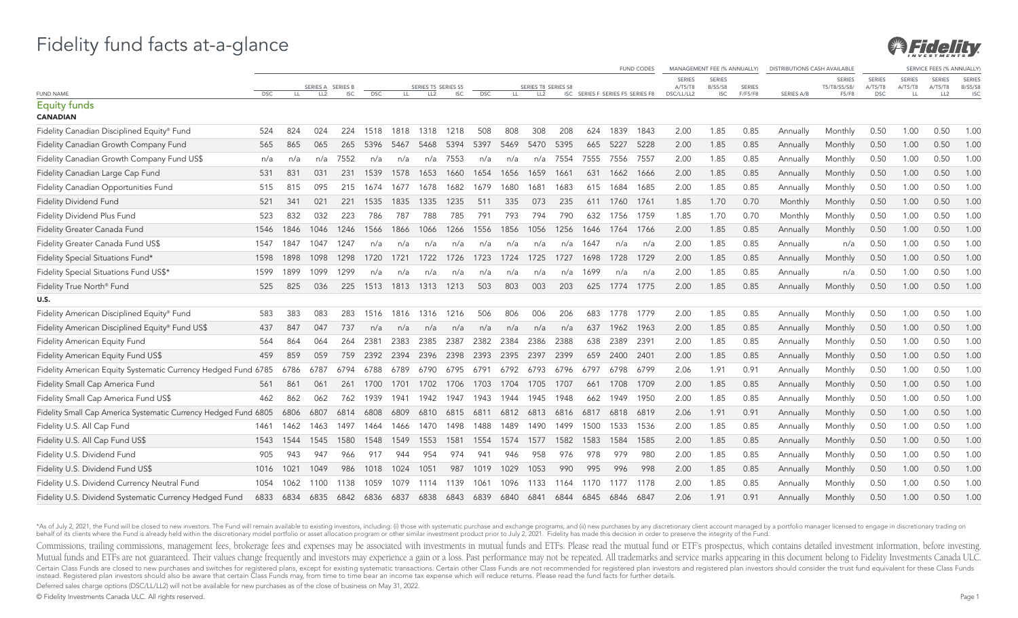

|                                                                 |            |      |                                      |            |            |      |                                        |            |            |      |                                        |      |                                  |      | <b>FUND CODES</b> |                       | MANAGEMENT FEE (% ANNUALLY) |                          | <b>DISTRIBUTIONS CASH AVAILABLE</b> |                       |                       |               | SERVICE FEES (% ANNUALLY   |                              |
|-----------------------------------------------------------------|------------|------|--------------------------------------|------------|------------|------|----------------------------------------|------------|------------|------|----------------------------------------|------|----------------------------------|------|-------------------|-----------------------|-----------------------------|--------------------------|-------------------------------------|-----------------------|-----------------------|---------------|----------------------------|------------------------------|
|                                                                 |            |      |                                      |            |            |      |                                        |            |            |      |                                        |      |                                  |      |                   | <b>SERIES</b>         | <b>SERIES</b>               |                          |                                     | <b>SERIES</b>         | <b>SERIES</b>         | <b>SERIES</b> | <b>SERIES</b>              | <b>SERIES</b>                |
| FUND NAME                                                       | <b>DSC</b> | LL.  | SERIES A SERIES B<br>LL <sub>2</sub> | <b>ISC</b> | <b>DSC</b> | LL.  | SERIES T5 SERIES S5<br>LL <sub>2</sub> | <b>ISC</b> | <b>DSC</b> | LL.  | SERIES T8 SERIES S8<br>LL <sub>2</sub> |      | ISC SERIES F SERIES F5 SERIES F8 |      |                   | A/T5/T8<br>DSC/LL/LL2 | B/S5/S8<br><b>ISC</b>       | <b>SERIES</b><br>F/F5/F8 | <b>SERIES A/B</b>                   | T5/T8/S5/S8/<br>F5/F8 | A/T5/T8<br><b>DSC</b> | A/T5/T8<br>LL | A/T5/T8<br>LL <sub>2</sub> | <b>B/S5/S8</b><br><b>ISC</b> |
| <b>Equity funds</b><br><b>CANADIAN</b>                          |            |      |                                      |            |            |      |                                        |            |            |      |                                        |      |                                  |      |                   |                       |                             |                          |                                     |                       |                       |               |                            |                              |
| Fidelity Canadian Disciplined Equity® Fund                      | 524        | 824  | 024                                  | 224        | 1518       | 1818 | 1318                                   | 1218       | 508        | 808  | 308                                    | 208  | 624                              | 1839 | 1843              | 2.00                  | 1.85                        | 0.85                     | Annually                            | Monthly               | 0.50                  | 1.00          | 0.50                       | 1.00                         |
| Fidelity Canadian Growth Company Fund                           | 565        | 865  | 065                                  | 265        | 5396       | 5467 | 5468                                   | 5394       | 5397       | 5469 | 5470                                   | 5395 | 665                              | 5227 | 5228              | 2.00                  | 1.85                        | 0.85                     | Annually                            | Monthly               | 0.50                  | 1.00          | 0.50                       | 1.00                         |
| Fidelity Canadian Growth Company Fund US\$                      | n/a        | n/a  | n/a                                  | 7552       | n/a        | n/a  | n/a                                    | 7553       | n/a        | n/a  | n/a                                    | 7554 | 7555                             | 7556 | 7557              | 2.00                  | 1.85                        | 0.85                     | Annually                            | Monthly               | 0.50                  | 1.00          | 0.50                       | 1.00                         |
| Fidelity Canadian Large Cap Fund                                | 531        | 831  | 031                                  | 231        | 1539       | 1578 | 1653                                   | 1660       | 1654       | 1656 | 1659                                   | 1661 | 631                              | 1662 | 1666              | 2.00                  | 1.85                        | 0.85                     | Annually                            | Monthly               | 0.50                  | 1.00          | 0.50                       | 1.00                         |
| Fidelity Canadian Opportunities Fund                            | 515        | 815  | 095                                  | 215        | 1674       | 1677 | 1678                                   | 1682       | 1679       | 1680 | 1681                                   | 1683 | 615                              | 1684 | 1685              | 2.00                  | 1.85                        | 0.85                     | Annually                            | Monthly               | 0.50                  | 1.00          | 0.50                       | 1.00                         |
| <b>Fidelity Dividend Fund</b>                                   | 521        | 341  | 021                                  | 221        | 1535       | 1835 | 1335                                   | 1235       | 511        | 335  | 073                                    | 235  | 611                              | 1760 | 1761              | 1.85                  | 1.70                        | 0.70                     | Monthly                             | Monthly               | 0.50                  | 1.00          | 0.50                       | 1.00                         |
| Fidelity Dividend Plus Fund                                     | 523        | 832  | 032                                  | 223        | 786        | 787  | 788                                    | 785        | 791        | 793  | 794                                    | 790  | 632                              | 1756 | 1759              | 1.85                  | 1.70                        | 0.70                     | Monthly                             | Monthly               | 0.50                  | 1.00          | 0.50                       | 1.00                         |
| Fidelity Greater Canada Fund                                    | 1546       | 1846 | 1046                                 | 1246       | 1566       | 1866 | 1066                                   | 1266       | 1556       | 1856 | 1056                                   | 1256 | 1646                             | 1764 | 1766              | 2.00                  | 1.85                        | 0.85                     | Annually                            | Monthly               | 0.50                  | 1.00          | 0.50                       | 1.00                         |
| Fidelity Greater Canada Fund US\$                               | 1547       | 1847 | 1047                                 | 1247       | n/a        | n/a  | n/a                                    | n/a        | n/a        | n/a  | n/a                                    | n/a  | 1647                             | n/a  | n/a               | 2.00                  | 1.85                        | 0.85                     | Annually                            | n/a                   | 0.50                  | 1.00          | 0.50                       | 1.00                         |
| Fidelity Special Situations Fund*                               | 1598       | 1898 | 1098                                 | 1298       | 1720       | 1721 | 1722                                   | 1726       | 1723       | 1724 | 1725                                   | 1727 | 1698                             | 1728 | 1729              | 2.00                  | 1.85                        | 0.85                     | Annually                            | Monthly               | 0.50                  | 1.00          | 0.50                       | 1.00                         |
| Fidelity Special Situations Fund US\$*                          | 1599       | 1899 | 1099                                 | 1299       | n/a        | n/a  | n/a                                    | n/a        | n/a        | n/a  | n/a                                    | n/a  | 1699                             | n/a  | n/a               | 2.00                  | 1.85                        | 0.85                     | Annually                            | n/a                   | 0.50                  | 1.00          | 0.50                       | 1.00                         |
| Fidelity True North <sup>®</sup> Fund                           | 525        | 825  | 036                                  | 225        | 1513       | 1813 | 1313                                   | 1213       | 503        | 803  | 003                                    | 203  | 625                              | 1774 | 1775              | 2.00                  | 1.85                        | 0.85                     | Annually                            | Monthly               | 0.50                  | 1.00          | 0.50                       | 1.00                         |
| U.S.                                                            |            |      |                                      |            |            |      |                                        |            |            |      |                                        |      |                                  |      |                   |                       |                             |                          |                                     |                       |                       |               |                            |                              |
| Fidelity American Disciplined Equity® Fund                      | 583        | 383  | 083                                  | 283        | 1516       | 1816 | 1316                                   | 1216       | 506        | 806  | 006                                    | 206  | 683                              | 1778 | 1779              | 2.00                  | 1.85                        | 0.85                     | Annually                            | Monthly               | 0.50                  | 1.00          | 0.50                       | 1.00                         |
| Fidelity American Disciplined Equity® Fund US\$                 | 437        | 847  | 047                                  | 737        | n/a        | n/a  | n/a                                    | n/a        | n/a        | n/a  | n/a                                    | n/a  | 637                              | 1962 | 1963              | 2.00                  | 1.85                        | 0.85                     | Annually                            | Monthly               | 0.50                  | 1.00          | 0.50                       | 1.00                         |
| Fidelity American Equity Fund                                   | 564        | 864  | 064                                  | 264        | 2381       | 2383 | 2385                                   | 2387       | 2382       | 2384 | 2386                                   | 2388 | 638                              | 2389 | 2391              | 2.00                  | 1.85                        | 0.85                     | Annually                            | Monthly               | 0.50                  | 1.00          | 0.50                       | 1.00                         |
| Fidelity American Equity Fund US\$                              | 459        | 859  | 059                                  | 759        | 2392       | 2394 | 2396                                   | 2398       | 2393       | 2395 | 2397                                   | 2399 | 659                              | 2400 | 2401              | 2.00                  | 1.85                        | 0.85                     | Annually                            | Monthly               | 0.50                  | 1.00          | 0.50                       | 1.00                         |
| Fidelity American Equity Systematic Currency Hedged Fund 6785   |            | 6786 | 6787                                 | 6794       | 6788       | 6789 | 6790                                   | 6795       | 6791       | 6792 | 6793                                   | 6796 | 6797                             | 6798 | 6799              | 2.06                  | 1.91                        | 0.91                     | Annually                            | Monthly               | 0.50                  | 1.00          | 0.50                       | 1.00                         |
| Fidelity Small Cap America Fund                                 | 561        | 861  | 061                                  | 261        | 1700       | 1701 | 1702                                   | 1706       | 1703       | 1704 | 1705                                   | 1707 | 661                              | 1708 | 1709              | 2.00                  | 1.85                        | 0.85                     | Annually                            | Monthly               | 0.50                  | 1.00          | 0.50                       | 1.00                         |
| Fidelity Small Cap America Fund US\$                            | 462        | 862  | 062                                  | 762        | 1939       | 1941 | 1942                                   | 1947       | 1943       | 1944 | 1945                                   | 1948 | 662                              | 1949 | 1950              | 2.00                  | 1.85                        | 0.85                     | Annually                            | Monthly               | 0.50                  | 1.00          | 0.50                       | 1.00                         |
| Fidelity Small Cap America Systematic Currency Hedged Fund 6805 |            | 6806 | 6807                                 | 6814       | 6808       | 6809 | 6810                                   | 6815       | 6811       | 6812 | 6813                                   | 6816 | 6817                             | 6818 | 6819              | 2.06                  | 1.91                        | 0.91                     | Annually                            | Monthly               | 0.50                  | 1.00          | 0.50                       | 1.00                         |
| Fidelity U.S. All Cap Fund                                      | 1461       | 1462 | 1463                                 | 1497       | 1464       | 1466 | 1470                                   | 1498       | 1488       | 1489 | 1490                                   | 1499 | 1500                             | 1533 | 1536              | 2.00                  | 1.85                        | 0.85                     | Annually                            | Monthly               | 0.50                  | 1.00          | 0.50                       | 1.00                         |
| Fidelity U.S. All Cap Fund US\$                                 | 1543       | 1544 | 1545                                 | 1580       | 1548       | 1549 | 1553                                   | 1581       | 1554       | 1574 | 1577                                   | 1582 | 1583                             | 1584 | 1585              | 2.00                  | 1.85                        | 0.85                     | Annually                            | Monthly               | 0.50                  | 1.00          | 0.50                       | 1.00                         |
| Fidelity U.S. Dividend Fund                                     | 905        | 943  | 947                                  | 966        | 917        | 944  | 954                                    | 974        | 941        | 946  | 958                                    | 976  | 978                              | 979  | 980               | 2.00                  | 1.85                        | 0.85                     | Annually                            | Monthly               | 0.50                  | 1.00          | 0.50                       | 1.00                         |
| Fidelity U.S. Dividend Fund US\$                                | 1016       | 1021 | 1049                                 | 986        | 1018       | 1024 | 1051                                   | 987        | 1019       | 1029 | 1053                                   | 990  | 995                              | 996  | 998               | 2.00                  | 1.85                        | 0.85                     | Annually                            | Monthly               | 0.50                  | 1.00          | 0.50                       | 1.00                         |
| Fidelity U.S. Dividend Currency Neutral Fund                    | 1054       | 1062 | 1100                                 | 1138       | 1059       | 1079 | 1114                                   | 1139       | 1061       | 1096 | 1133                                   | 1164 | 1170                             | 1177 | 1178              | 2.00                  | 1.85                        | 0.85                     | Annually                            | Monthly               | 0.50                  | 1.00          | 0.50                       | 1.00                         |
| Fidelity U.S. Dividend Systematic Currency Hedged Fund          | 6833       | 6834 | 6835                                 | 6842       | 6836       | 6837 | 6838                                   | 6843       | 6839       | 6840 | 6841                                   | 6844 | 6845                             | 6846 | 6847              | 2.06                  | 1.91                        | 0.91                     | Annually                            | Monthly               | 0.50                  | 1.00          | 0.50                       | 1.00                         |

\*As of July 2, 2021, the Fund will be closed to new investors. The Fund will remain available to existing investors, including: (i) those with systematic purchase and exchange programs; and (ii) new purchases by any discre

Commissions, trailing commissions, management fees, brokerage fees and expenses may be associated with investments in mutual funds and ETFs. Please read the mutual fund or ETF's prospectus, which contains detailed investme Mutual funds and ETFs are not guaranteed. Their values change frequently and investors may experience a gain or a loss. Past performance may not be repeated. All trademarks and service marks appearing in this document belo Certain Class Funds are closed to new purchases and switches for registered plans, except for existing systematic transactions. Certain other Class Funds are not recommended for registered plan investors and registered pla

Deferred sales charge options (DSC/LL/LL2) will not be available for new purchases as of the close of business on May 31, 2022.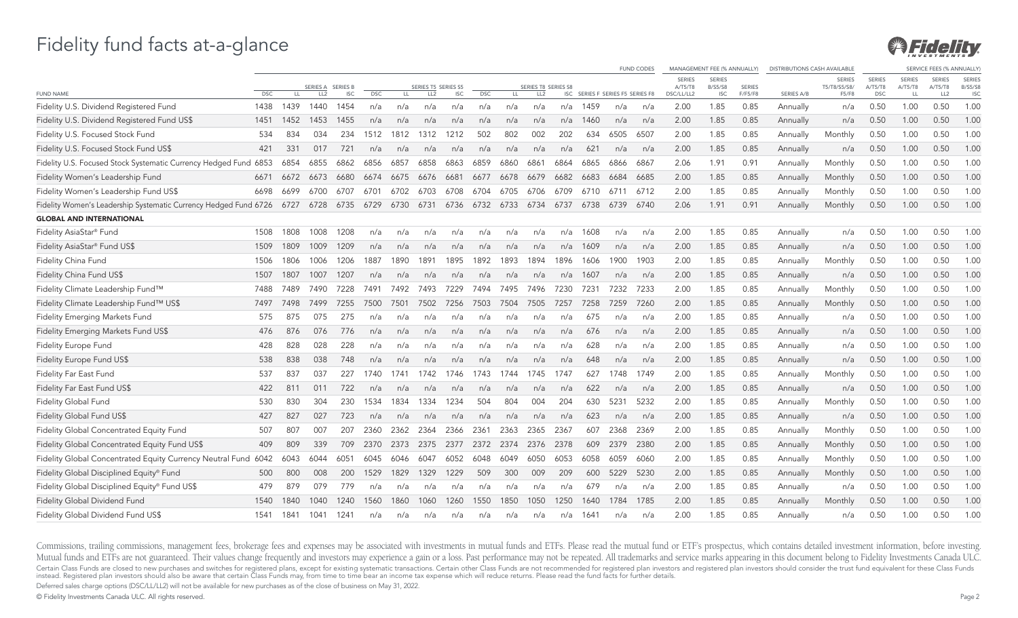

|                                                                       |            |      |                 |                 |            |      |                     |            |            |      |                     |      |                                  |      | <b>FUND CODES</b> |                          | MANAGEMENT FEE (% ANNUALLY) |               | DISTRIBUTIONS CASH AVAILABLE |                               |                          |                          | SERVICE FEES (% ANNUALLY |                                 |
|-----------------------------------------------------------------------|------------|------|-----------------|-----------------|------------|------|---------------------|------------|------------|------|---------------------|------|----------------------------------|------|-------------------|--------------------------|-----------------------------|---------------|------------------------------|-------------------------------|--------------------------|--------------------------|--------------------------|---------------------------------|
|                                                                       |            |      | SERIES A        | <b>SERIES B</b> |            |      | SERIES T5 SERIES S5 |            |            |      | SERIES T8 SERIES S8 |      |                                  |      |                   | <b>SERIES</b><br>A/T5/T8 | <b>SERIES</b><br>B/S5/S8    | <b>SERIES</b> |                              | <b>SERIES</b><br>T5/T8/S5/S8/ | <b>SERIES</b><br>A/T5/T8 | <b>SERIES</b><br>A/T5/T8 | <b>SERIES</b><br>A/T5/T8 | <b>SERIES</b><br><b>B/S5/S8</b> |
| <b>FUND NAME</b>                                                      | <b>DSC</b> | LL   | LL <sub>2</sub> | <b>ISC</b>      | <b>DSC</b> | LL   | LL <sub>2</sub>     | <b>ISC</b> | <b>DSC</b> | LL.  | LL <sub>2</sub>     |      | ISC SERIES F SERIES F5 SERIES F8 |      |                   | DSC/LL/LL2               | <b>ISC</b>                  | F/F5/F8       | SERIES A/B                   | F5/F8                         | <b>DSC</b>               | LL                       | LL <sub>2</sub>          | <b>ISC</b>                      |
| Fidelity U.S. Dividend Registered Fund                                | 1438       | 1439 | 1440            | 1454            | n/a        | n/a  | n/a                 | n/a        | n/a        | n/a  | n/a                 | n/a  | 1459                             | n/a  | n/a               | 2.00                     | 1.85                        | 0.85          | Annually                     | n/a                           | 0.50                     | 1.00                     | 0.50                     | 1.00                            |
| Fidelity U.S. Dividend Registered Fund US\$                           | 1451       | 1452 | 1453            | 1455            | n/a        | n/a  | n/a                 | n/a        | n/a        | n/a  | n/a                 | n/a  | 1460                             | n/a  | n/a               | 2.00                     | 1.85                        | 0.85          | Annually                     | n/a                           | 0.50                     | 1.00                     | 0.50                     | 1.00                            |
| Fidelity U.S. Focused Stock Fund                                      | 534        | 834  | 034             | 234             | 1512       | 1812 | 1312                | 1212       | 502        | 802  | 002                 | 202  | 634                              | 6505 | 6507              | 2.00                     | 1.85                        | 0.85          | Annually                     | Monthly                       | 0.50                     | 1.00                     | 0.50                     | 1.00                            |
| Fidelity U.S. Focused Stock Fund US\$                                 | 421        | 331  | 017             | 721             | n/a        | n/a  | n/a                 | n/a        | n/a        | n/a  | n/a                 | n/a  | 621                              | n/a  | n/a               | 2.00                     | 1.85                        | 0.85          | Annually                     | n/a                           | 0.50                     | 1.00                     | 0.50                     | 1.00                            |
| Fidelity U.S. Focused Stock Systematic Currency Hedged Fund 6853      |            | 6854 | 6855            | 6862            | 6856       | 6857 | 6858                | 6863       | 6859       | 6860 | 6861                | 6864 | 6865                             | 6866 | 6867              | 2.06                     | 1.91                        | 0.91          | Annually                     | Monthly                       | 0.50                     | 1.00                     | 0.50                     | 1.00                            |
| Fidelity Women's Leadership Fund                                      | 6671       | 6672 | 6673            | 6680            | 6674       | 6675 | 6676                | 6681       | 6677       | 6678 | 6679                | 6682 | 6683                             | 6684 | 6685              | 2.00                     | 1.85                        | 0.85          | Annually                     | Monthly                       | 0.50                     | 1.00                     | 0.50                     | 1.00                            |
| Fidelity Women's Leadership Fund US\$                                 | 6698       | 6699 | 6700            | 6707            | 6701       | 6702 | 6703                | 6708       | 6704       | 6705 | 6706                | 6709 | 6710                             | 6711 | 6712              | 2.00                     | 1.85                        | 0.85          | Annually                     | Monthly                       | 0.50                     | 1.00                     | 0.50                     | 1.00                            |
| Fidelity Women's Leadership Systematic Currency Hedged Fund 6726 6727 |            |      | 6728            | 6735            | 6729       | 6730 | 6731                |            | 6736 6732  | 6733 | 6734                | 6737 | 6738                             | 6739 | 6740              | 2.06                     | 1.91                        | 0.91          | Annually                     | Monthly                       | 0.50                     | 1.00                     | 0.50                     | 1.00                            |
| <b>GLOBAL AND INTERNATIONAL</b>                                       |            |      |                 |                 |            |      |                     |            |            |      |                     |      |                                  |      |                   |                          |                             |               |                              |                               |                          |                          |                          |                                 |
| Fidelity AsiaStar® Fund                                               | 1508       | 1808 | 1008            | 1208            | n/a        | n/a  | n/a                 | n/a        | n/a        | n/a  | n/a                 | n/a  | 1608                             | n/a  | n/a               | 2.00                     | 1.85                        | 0.85          | Annually                     | n/a                           | 0.50                     | 1.00                     | 0.50                     | 1.00                            |
| Fidelity AsiaStar® Fund US\$                                          | 1509       | 1809 | 1009            | 1209            | n/a        | n/a  | n/a                 | n/a        | n/a        | n/a  | n/a                 | n/a  | 1609                             | n/a  | n/a               | 2.00                     | 1.85                        | 0.85          | Annually                     | n/a                           | 0.50                     | 1.00                     | 0.50                     | 1.00                            |
| Fidelity China Fund                                                   | 1506       | 1806 | 1006            | 1206            | 1887       | 1890 | 1891                | 1895       | 1892       | 1893 | 1894                | 1896 | 1606                             | 1900 | 1903              | 2.00                     | 1.85                        | 0.85          | Annually                     | Monthly                       | 0.50                     | 1.00                     | 0.50                     | 1.00                            |
| Fidelity China Fund US\$                                              | 1507       | 1807 | 1007            | 1207            | n/a        | n/a  | n/a                 | n/a        | n/a        | n/a  | n/a                 | n/a  | 1607                             | n/a  | n/a               | 2.00                     | 1.85                        | 0.85          | Annually                     | n/a                           | 0.50                     | 1.00                     | 0.50                     | 1.00                            |
| Fidelity Climate Leadership Fund™                                     | 7488       | 7489 | 7490            | 7228            | 7491       | 7492 | 7493                | 7229       | 7494       | 7495 | 7496                | 7230 | 7231                             | 7232 | 7233              | 2.00                     | 1.85                        | 0.85          | Annually                     | Monthly                       | 0.50                     | 1.00                     | 0.50                     | 1.00                            |
| Fidelity Climate Leadership Fund™ US\$                                | 7497       | 7498 | 7499            | 7255            | 7500       | 7501 | 7502                | 7256       | 7503       | 7504 | 7505                | 7257 | 7258                             | 7259 | 7260              | 2.00                     | 1.85                        | 0.85          | Annually                     | Monthly                       | 0.50                     | 1.00                     | 0.50                     | 1.00                            |
| Fidelity Emerging Markets Fund                                        | 575        | 875  | 075             | 275             | n/a        | n/a  | n/a                 | n/a        | n/a        | n/a  | n/a                 | n/a  | 675                              | n/a  | n/a               | 2.00                     | 1.85                        | 0.85          | Annually                     | n/a                           | 0.50                     | 1.00                     | 0.50                     | 1.00                            |
| Fidelity Emerging Markets Fund US\$                                   | 476        | 876  | 076             | 776             | n/a        | n/a  | n/a                 | n/a        | n/a        | n/a  | n/a                 | n/a  | 676                              | n/a  | n/a               | 2.00                     | 1.85                        | 0.85          | Annually                     | n/a                           | 0.50                     | 1.00                     | 0.50                     | 1.00                            |
| Fidelity Europe Fund                                                  | 428        | 828  | 028             | 228             | n/a        | n/a  | n/a                 | n/a        | n/a        | n/a  | n/a                 | n/a  | 628                              | n/a  | n/a               | 2.00                     | 1.85                        | 0.85          | Annually                     | n/a                           | 0.50                     | 1.00                     | 0.50                     | 1.00                            |
| Fidelity Europe Fund US\$                                             | 538        | 838  | 038             | 748             | n/a        | n/a  | n/a                 | n/a        | n/a        | n/a  | n/a                 | n/a  | 648                              | n/a  | n/a               | 2.00                     | 1.85                        | 0.85          | Annually                     | n/a                           | 0.50                     | 1.00                     | 0.50                     | 1.00                            |
| Fidelity Far East Fund                                                | 537        | 837  | 037             | 227             | 1740       | 1741 | 1742                | 1746       | 1743       | 1744 | 1745                | 1747 | 627                              | 1748 | 1749              | 2.00                     | 1.85                        | 0.85          | Annually                     | Monthly                       | 0.50                     | 1.00                     | 0.50                     | 1.00                            |
| Fidelity Far East Fund US\$                                           | 422        | 811  | 011             | 722             | n/a        | n/a  | n/a                 | n/a        | n/a        | n/a  | n/a                 | n/a  | 622                              | n/a  | n/a               | 2.00                     | 1.85                        | 0.85          | Annually                     | n/a                           | 0.50                     | 1.00                     | 0.50                     | 1.00                            |
| Fidelity Global Fund                                                  | 530        | 830  | 304             | 230             | 1534       | 1834 | 1334                | 1234       | 504        | 804  | 004                 | 204  | 630                              | 5231 | 5232              | 2.00                     | 1.85                        | 0.85          | Annually                     | Monthly                       | 0.50                     | 1.00                     | 0.50                     | 1.00                            |
| Fidelity Global Fund US\$                                             | 427        | 827  | 027             | 723             | n/a        | n/a  | n/a                 | n/a        | n/a        | n/a  | n/a                 | n/a  | 623                              | n/a  | n/a               | 2.00                     | 1.85                        | 0.85          | Annually                     | n/a                           | 0.50                     | 1.00                     | 0.50                     | 1.00                            |
| Fidelity Global Concentrated Equity Fund                              | 507        | 807  | 007             | 207             | 2360       | 2362 | 2364                | 2366       | 2361       | 2363 | 2365                | 2367 | 607                              | 2368 | 2369              | 2.00                     | 1.85                        | 0.85          | Annually                     | Monthly                       | 0.50                     | 1.00                     | 0.50                     | 1.00                            |
| Fidelity Global Concentrated Equity Fund US\$                         | 409        | 809  | 339             | 709             | 2370       | 2373 | 2375                | 2377       | 2372       | 2374 | 2376                | 2378 | 609                              | 2379 | 2380              | 2.00                     | 1.85                        | 0.85          | Annually                     | Monthly                       | 0.50                     | 1.00                     | 0.50                     | 1.00                            |
| Fidelity Global Concentrated Equity Currency Neutral Fund 6042        |            | 6043 | 6044            | 6051            | 6045       | 6046 | 6047                | 6052       | 6048       | 6049 | 6050                | 6053 | 6058                             | 6059 | 6060              | 2.00                     | 1.85                        | 0.85          | Annually                     | Monthly                       | 0.50                     | 1.00                     | 0.50                     | 1.00                            |
| Fidelity Global Disciplined Equity® Fund                              | 500        | 800  | 008             | 200             | 1529       | 1829 | 1329                | 1229       | 509        | 300  | 009                 | 209  | 600                              | 5229 | 5230              | 2.00                     | 1.85                        | 0.85          | Annually                     | Monthly                       | 0.50                     | 1.00                     | 0.50                     | 1.00                            |
| Fidelity Global Disciplined Equity® Fund US\$                         | 479        | 879  | 079             | 779             | n/a        | n/a  | n/a                 | n/a        | n/a        | n/a  | n/a                 | n/a  | 679                              | n/a  | n/a               | 2.00                     | 1.85                        | 0.85          | Annually                     | n/a                           | 0.50                     | 1.00                     | 0.50                     | 1.00                            |
| Fidelity Global Dividend Fund                                         | 1540       | 1840 | 1040            | 1240            | 1560       | 1860 | 1060                | 1260       | 1550       | 1850 | 1050                | 1250 | 1640                             | 1784 | 1785              | 2.00                     | 1.85                        | 0.85          | Annually                     | Monthly                       | 0.50                     | 1.00                     | 0.50                     | 1.00                            |
| Fidelity Global Dividend Fund US\$                                    | 1541       | 1841 | 1041            | 1241            | n/a        | n/a  | n/a                 | n/a        | n/a        | n/a  | n/a                 | n/a  | 1641                             | n/a  | n/a               | 2.00                     | 1.85                        | 0.85          | Annually                     | n/a                           | 0.50                     | 1.00                     | 0.50                     | 1.00                            |

Commissions, trailing commissions, management fees, brokerage fees and expenses may be associated with investments in mutual funds and ETFs. Please read the mutual fund or ETF's prospectus, which contains detailed investme Mutual funds and ETFs are not guaranteed. Their values change frequently and investors may experience a gain or a loss. Past performance may not be repeated. All trademarks and service marks appearing in this document belo Certain Class Funds are closed to new purchases and switches for registered plans, except for existing systematic transactions. Certain other Class Funds are not recommended for registered plan investors and registered pla

Deferred sales charge options (DSC/LL/LL2) will not be available for new purchases as of the close of business on May 31, 2022.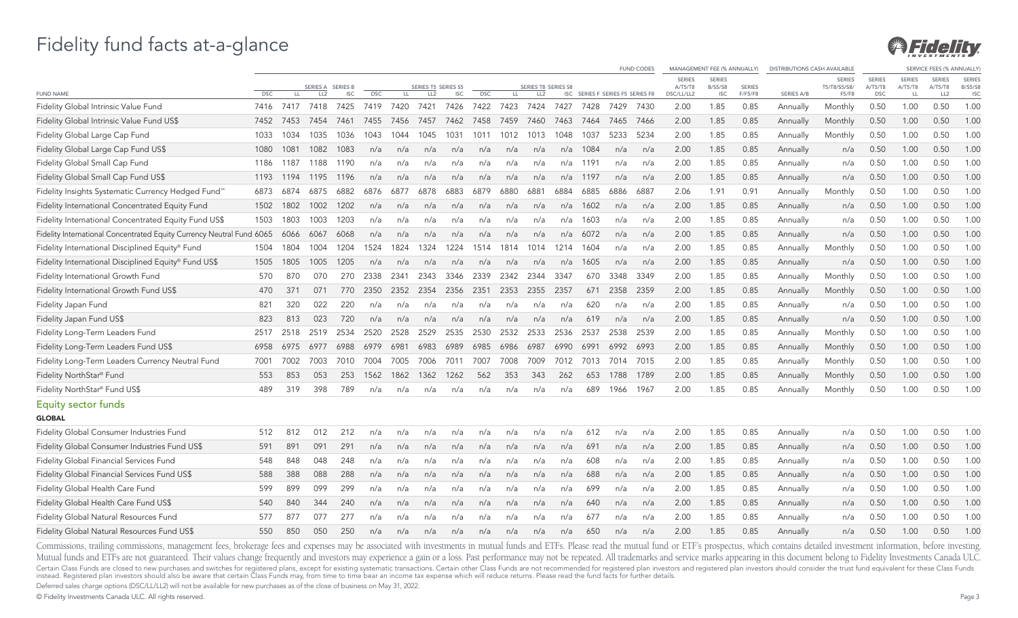

|                                                                       |                    |             |                         |                    |                    |            |                         |                    |                    |             |                         |      |                                          |      | <b>FUND CODES</b> |                          | MANAGEMENT FEE (% ANNUALLY)     |                 | <b>DISTRIBUTIONS CASH AVAILABLE</b> |                               |                          |                          | SERVICE FEES (% ANNUALLY) |                                 |
|-----------------------------------------------------------------------|--------------------|-------------|-------------------------|--------------------|--------------------|------------|-------------------------|--------------------|--------------------|-------------|-------------------------|------|------------------------------------------|------|-------------------|--------------------------|---------------------------------|-----------------|-------------------------------------|-------------------------------|--------------------------|--------------------------|---------------------------|---------------------------------|
|                                                                       |                    |             | SERIES A                | <b>SERIES B</b>    |                    |            | SERIES T5 SERIES S5     |                    |                    |             | SERIES T8 SERIES S8     |      |                                          |      |                   | <b>SERIES</b><br>A/T5/T8 | <b>SERIES</b><br><b>B/S5/S8</b> | <b>SERIES</b>   |                                     | <b>SERIES</b><br>T5/T8/S5/S8/ | <b>SERIES</b><br>A/T5/T8 | <b>SERIES</b><br>A/T5/T8 | <b>SERIES</b><br>A/T5/T8  | <b>SERIES</b><br><b>B/S5/S8</b> |
| <b>FUND NAME</b><br>Fidelity Global Intrinsic Value Fund              | <b>DSC</b><br>7416 | LL.<br>7417 | LL <sub>2</sub><br>7418 | <b>ISC</b><br>7425 | <b>DSC</b><br>7419 | LL<br>7420 | LL <sub>2</sub><br>7421 | <b>ISC</b><br>7426 | <b>DSC</b><br>7422 | LL.<br>7423 | LL <sub>2</sub><br>7424 | 7427 | ISC SERIES F SERIES F5 SERIES F8<br>7428 | 7429 | 7430              | DSC/LL/LL2<br>2.00       | <b>ISC</b><br>1.85              | F/F5/F8<br>0.85 | SERIES A/B<br>Annually              | F5/F8<br>Monthly              | <b>DSC</b><br>0.50       | LL<br>1.00               | LL <sub>2</sub><br>0.50   | <b>ISC</b><br>1.00              |
| Fidelity Global Intrinsic Value Fund US\$                             | 7452               | 7453        | 7454                    | 7461               | 7455               | 7456       | 7457                    | 7462               | 7458               | 7459        | 7460                    | 7463 | 7464                                     | 7465 | 7466              | 2.00                     | 1.85                            | 0.85            | Annually                            | Monthly                       | 0.50                     | 1.00                     | 0.50                      | 1.00                            |
| Fidelity Global Large Cap Fund                                        | 1033               | 1034        | 1035                    | 1036               | 1043               | 1044       | 1045                    | 1031               | 1011               | 1012        | 1013                    | 1048 | 1037                                     | 5233 | 5234              | 2.00                     | 1.85                            | 0.85            | Annually                            | Monthly                       | 0.50                     | 1.00                     | 0.50                      | 1.00                            |
| Fidelity Global Large Cap Fund US\$                                   | 1080               | 1081        | 1082                    | 1083               | n/a                | n/a        | n/a                     | n/a                | n/a                | n/a         | n/a                     | n/a  | 1084                                     | n/a  | n/a               | 2.00                     | 1.85                            | 0.85            | Annually                            | n/a                           | 0.50                     | 1.00                     | 0.50                      | 1.00                            |
| Fidelity Global Small Cap Fund                                        | 1186               | 1187        | 1188                    | 1190               | n/a                | n/a        | n/a                     | n/a                | n/a                | n/a         | n/a                     | n/a  | 1191                                     | n/a  | n/a               | 2.00                     | 1.85                            | 0.85            | Annually                            | n/a                           | 0.50                     | 1.00                     | 0.50                      | 1.00                            |
| Fidelity Global Small Cap Fund US\$                                   | 1193               | 1194        | 1195                    | 1196               | n/a                | n/a        | n/a                     | n/a                | n/a                | n/a         | n/a                     | n/a  | 1197                                     | n/a  | n/a               | 2.00                     | 1.85                            | 0.85            | Annually                            | n/a                           | 0.50                     | 1.00                     | 0.50                      | 1.00                            |
|                                                                       |                    | 6874        | 6875                    | 6882               | 6876               | 6877       | 6878                    | 6883               | 6879               | 6880        | 6881                    | 6884 | 6885                                     | 6886 | 6887              | 2.06                     | 1.91                            | 0.91            |                                     |                               | 0.50                     | 1.00                     | 0.50                      | 1.00                            |
| Fidelity Insights Systematic Currency Hedged Fund™                    | 6873               |             |                         |                    |                    |            |                         |                    |                    |             |                         |      |                                          |      |                   |                          |                                 |                 | Annually                            | Monthly                       |                          |                          |                           |                                 |
| Fidelity International Concentrated Equity Fund                       | 1502               | 1802        | 1002                    | 1202               | n/a                | n/a        | n/a                     | n/a                | n/a                | n/a         | n/a                     | n/a  | 1602                                     | n/a  | n/a               | 2.00                     | 1.85                            | 0.85            | Annually                            | n/a                           | 0.50                     | 1.00                     | 0.50                      | 1.00                            |
| Fidelity International Concentrated Equity Fund US\$                  | 1503               | 1803        | 1003                    | 1203               | n/a                | n/a        | n/a                     | n/a                | n/a                | n/a         | n/a                     | n/a  | 1603                                     | n/a  | n/a               | 2.00                     | 1.85                            | 0.85            | Annually                            | n/a                           | 0.50                     | 1.00                     | 0.50                      | 1.00                            |
| Fidelity International Concentrated Equity Currency Neutral Fund 6065 |                    | 6066        | 6067                    | 6068               | n/a                | n/a        | n/a                     | n/a                | n/a                | n/a         | n/a                     | n/a  | 6072                                     | n/a  | n/a               | 2.00                     | 1.85                            | 0.85            | Annually                            | n/a                           | 0.50                     | 1.00                     | 0.50                      | 1.00                            |
| Fidelity International Disciplined Equity® Fund                       | 1504               | 1804        | 1004                    | 1204               | 1524               | 1824       | 1324                    | 1224               | 1514               | 1814        | 1014                    | 1214 | 1604                                     | n/a  | n/a               | 2.00                     | 1.85                            | 0.85            | Annually                            | Monthly                       | 0.50                     | 1.00                     | 0.50                      | 1.00                            |
| Fidelity International Disciplined Equity® Fund US\$                  | 1505               | 1805        | 1005                    | 1205               | n/a                | n/a        | n/a                     | n/a                | n/a                | n/a         | n/a                     | n/a  | 1605                                     | n/a  | n/a               | 2.00                     | 1.85                            | 0.85            | Annually                            | n/a                           | 0.50                     | 1.00                     | 0.50                      | 1.00                            |
| Fidelity International Growth Fund                                    | 570                | 870         | 070                     | 270                | 2338               | 2341       | 2343                    | 3346               | 2339               | 2342        | 2344                    | 3347 | 670                                      | 3348 | 3349              | 2.00                     | 1.85                            | 0.85            | Annually                            | Monthly                       | 0.50                     | 1.00                     | 0.50                      | 1.00                            |
| Fidelity International Growth Fund US\$                               | 470                | 371         | 071                     | 770                | 2350               | 2352       | 2354                    | 2356               | 2351               | 2353        | 2355                    | 2357 | 671                                      | 2358 | 2359              | 2.00                     | 1.85                            | 0.85            | Annually                            | Monthly                       | 0.50                     | 1.00                     | 0.50                      | 1.00                            |
| Fidelity Japan Fund                                                   | 821                | 320         | 022                     | 220                | n/a                | n/a        | n/a                     | n/a                | n/a                | n/a         | n/a                     | n/a  | 620                                      | n/a  | n/a               | 2.00                     | 1.85                            | 0.85            | Annually                            | n/a                           | 0.50                     | 1.00                     | 0.50                      | 1.00                            |
| Fidelity Japan Fund US\$                                              | 823                | 813         | 023                     | 720                | n/a                | n/a        | n/a                     | n/a                | n/a                | n/a         | n/a                     | n/a  | 619                                      | n/a  | n/a               | 2.00                     | 1.85                            | 0.85            | Annually                            | n/a                           | 0.50                     | 1.00                     | 0.50                      | 1.00                            |
| Fidelity Long-Term Leaders Fund                                       | 2517               | 2518        | 2519                    | 2534               | 2520               | 2528       | 2529                    | 2535               | 2530               | 2532        | 2533                    | 2536 | 2537                                     | 2538 | 2539              | 2.00                     | 1.85                            | 0.85            | Annually                            | Monthly                       | 0.50                     | 1.00                     | 0.50                      | 1.00                            |
| Fidelity Long-Term Leaders Fund US\$                                  | 6958               | 6975        | 6977                    | 6988               | 6979               | 6981       | 6983                    | 6989               | 6985               | 6986        | 6987                    | 6990 | 6991                                     | 6992 | 6993              | 2.00                     | 1.85                            | 0.85            | Annually                            | Monthly                       | 0.50                     | 1.00                     | 0.50                      | 1.00                            |
| Fidelity Long-Term Leaders Currency Neutral Fund                      | 7001               | 7002        | 7003                    | 7010               | 7004               | 7005       | 7006                    | 7011               | 7007               | 7008        | 7009                    | 7012 | 7013                                     | 7014 | 7015              | 2.00                     | 1.85                            | 0.85            | Annually                            | Monthly                       | 0.50                     | 1.00                     | 0.50                      | 1.00                            |
| Fidelity NorthStar® Fund                                              | 553                | 853         | 053                     | 253                | 1562               | 1862       | 1362                    | 1262               | 562                | 353         | 343                     | 262  | 653                                      | 1788 | 1789              | 2.00                     | 1.85                            | 0.85            | Annually                            | Monthly                       | 0.50                     | 1.00                     | 0.50                      | 1.00                            |
| Fidelity NorthStar® Fund US\$                                         | 489                | 319         | 398                     | 789                | n/a                | n/a        | n/a                     | n/a                | n/a                | n/a         | n/a                     | n/a  | 689                                      | 1966 | 1967              | 2.00                     | 1.85                            | 0.85            | Annually                            | Monthly                       | 0.50                     | 1.00                     | 0.50                      | 1.00                            |
| <b>Equity sector funds</b><br><b>GLOBAL</b>                           |                    |             |                         |                    |                    |            |                         |                    |                    |             |                         |      |                                          |      |                   |                          |                                 |                 |                                     |                               |                          |                          |                           |                                 |
| Fidelity Global Consumer Industries Fund                              | 512                | 812         | 012                     | 212                | n/a                | n/a        | n/a                     | n/a                | n/a                | n/a         | n/a                     | n/a  | 612                                      | n/a  | n/a               | 2.00                     | 1.85                            | 0.85            | Annually                            | n/a                           | 0.50                     | 1.00                     | 0.50                      | 1.00                            |
| Fidelity Global Consumer Industries Fund US\$                         | 591                | 891         | 091                     | 291                | n/a                | n/a        | n/a                     | n/a                | n/a                | n/a         | n/a                     | n/a  | 691                                      | n/a  | n/a               | 2.00                     | 1.85                            | 0.85            | Annually                            | n/a                           | 0.50                     | 1.00                     | 0.50                      | 1.00                            |
| Fidelity Global Financial Services Fund                               | 548                | 848         | 048                     | 248                | n/a                | n/a        | n/a                     | n/a                | n/a                | n/a         | n/a                     | n/a  | 608                                      | n/a  | n/a               | 2.00                     | 1.85                            | 0.85            | Annually                            | n/a                           | 0.50                     | 1.00                     | 0.50                      | 1.00                            |
| Fidelity Global Financial Services Fund US\$                          | 588                | 388         | 088                     | 288                | n/a                | n/a        | n/a                     | n/a                | n/a                | n/a         | n/a                     | n/a  | 688                                      | n/a  | n/a               | 2.00                     | 1.85                            | 0.85            | Annually                            | n/a                           | 0.50                     | 1.00                     | 0.50                      | 1.00                            |
| Fidelity Global Health Care Fund                                      | 599                | 899         | 099                     | 299                | n/a                | n/a        | n/a                     | n/a                | n/a                | n/a         | n/a                     | n/a  | 699                                      | n/a  | n/a               | 2.00                     | 1.85                            | 0.85            | Annually                            | n/a                           | 0.50                     | 1.00                     | 0.50                      | 1.00                            |
| Fidelity Global Health Care Fund US\$                                 | 540                | 840         | 344                     | 240                | n/a                | n/a        | n/a                     | n/a                | n/a                | n/a         | n/a                     | n/a  | 640                                      | n/a  | n/a               | 2.00                     | 1.85                            | 0.85            | Annually                            | n/a                           | 0.50                     | 1.00                     | 0.50                      | 1.00                            |
| Fidelity Global Natural Resources Fund                                | 577                | 877         | 077                     | 277                | n/a                | n/a        | n/a                     | n/a                | n/a                | n/a         | n/a                     | n/a  | 677                                      | n/a  | n/a               | 2.00                     | 1.85                            | 0.85            | Annually                            | n/a                           | 0.50                     | 1.00                     | 0.50                      | 1.00                            |
| Fidelity Global Natural Resources Fund US\$                           | 550                | 850         | 050                     | 250                | n/a                | n/a        | n/a                     | n/a                | n/a                | n/a         | n/a                     | n/a  | 650                                      | n/a  | n/a               | 2.00                     | 1.85                            | 0.85            | Annually                            | n/a                           | 0.50                     | 1.00                     | 0.50                      | 1.00                            |

Commissions, trailing commissions, management fees, brokerage fees and expenses may be associated with investments in mutual funds and ETFs. Please read the mutual fund or ETF's prospectus, which contains detailed investme Mutual funds and ETFs are not guaranteed. Their values change frequently and investors may experience a gain or a loss. Past performance may not be repeated. All trademarks and service marks appearing in this document belo Certain Class Funds are closed to new purchases and switches for registered plans, except for existing systematic transactions. Certain other Class Funds are not recommended for registered plan investors and registered pla

Deferred sales charge options (DSC/LL/LL2) will not be available for new purchases as of the close of business on May 31, 2022.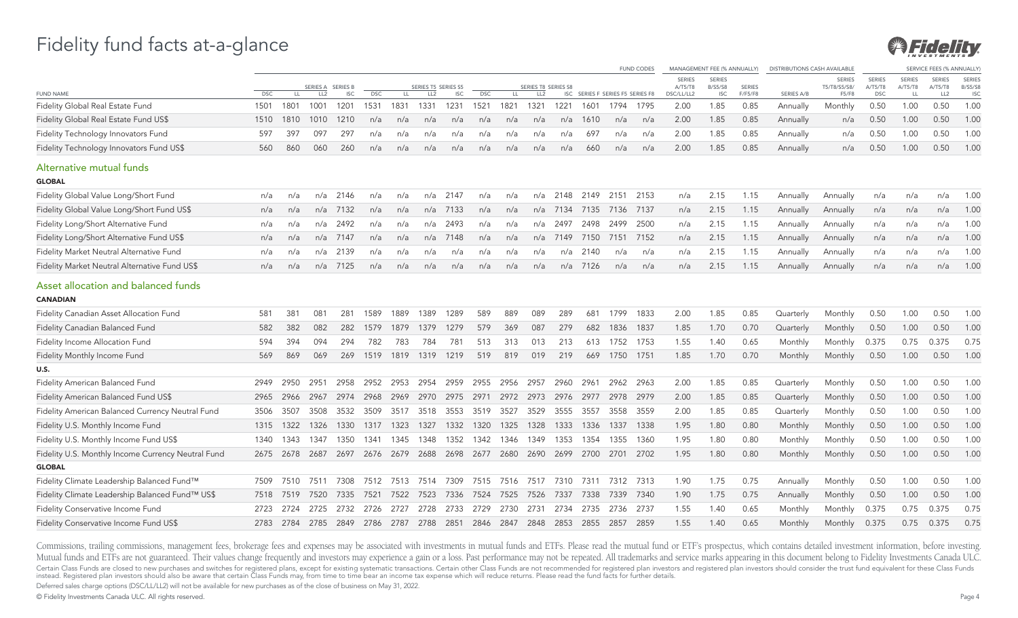

|                                                        |            |      |                   |            |            |      |                     |                     |            |      |                     |          |                                  |      | <b>FUND CODES</b> |                          | MANAGEMENT FEE (% ANNUALLY) |               | <b>DISTRIBUTIONS CASH AVAILABLE</b> |                               |                          |                   | <b>SERVICE FEES (% ANNUALLY</b> |                                 |
|--------------------------------------------------------|------------|------|-------------------|------------|------------|------|---------------------|---------------------|------------|------|---------------------|----------|----------------------------------|------|-------------------|--------------------------|-----------------------------|---------------|-------------------------------------|-------------------------------|--------------------------|-------------------|---------------------------------|---------------------------------|
|                                                        |            |      | SERIES A SERIES B |            |            |      | SERIES T5 SERIES S5 |                     |            |      | SERIES T8 SERIES S8 |          |                                  |      |                   | <b>SERIES</b><br>A/T5/T8 | <b>SERIES</b><br>B/S5/S8    | <b>SERIES</b> |                                     | <b>SERIES</b><br>T5/T8/S5/S8/ | <b>SERIES</b><br>A/T5/T8 | SERIES<br>A/T5/T8 | <b>SERIES</b><br>A/T5/T8        | <b>SERIES</b><br><b>B/S5/S8</b> |
| <b>FUND NAME</b>                                       | <b>DSC</b> | LL.  | LL2               | <b>ISC</b> | <b>DSC</b> | LL.  | LL <sub>2</sub>     | <b>ISC</b>          | <b>DSC</b> | LL.  | LL <sub>2</sub>     |          | ISC SERIES F SERIES F5 SERIES F8 |      |                   | DSC/LL/LL2               | <b>ISC</b>                  | F/F5/F8       | SERIES A/B                          | F5/F8                         | <b>DSC</b>               | LL                | LL <sub>2</sub>                 | <b>ISC</b>                      |
| Fidelity Global Real Estate Fund                       | 1501       | 1801 | 1001              | 1201       | 1531       | 1831 | 1331                | 1231                | 1521       | 1821 | 1321                | 1221     | 1601                             | 1794 | 1795              | 2.00                     | 1.85                        | 0.85          | Annually                            | Monthly                       | 0.50                     | 1.00              | 0.50                            | 1.00                            |
| Fidelity Global Real Estate Fund US\$                  | 1510       | 1810 | 1010              | 1210       | n/a        | n/a  | n/a                 | n/a                 | n/a        | n/a  | n/a                 | n/a      | 1610                             | n/a  | n/a               | 2.00                     | 1.85                        | 0.85          | Annually                            | n/a                           | 0.50                     | 1.00              | 0.50                            | 1.00                            |
| Fidelity Technology Innovators Fund                    | 597        | 397  | 097               | 297        | n/a        | n/a  | n/a                 | n/a                 | n/a        | n/a  | n/a                 | n/a      | 697                              | n/a  | n/a               | 2.00                     | 1.85                        | 0.85          | Annually                            | n/a                           | 0.50                     | 1.00              | 0.50                            | 1.00                            |
| Fidelity Technology Innovators Fund US\$               | 560        | 860  | 060               | 260        | n/a        | n/a  | n/a                 | n/a                 | n/a        | n/a  | n/a                 | n/a      | 660                              | n/a  | n/a               | 2.00                     | 1.85                        | 0.85          | Annually                            | n/a                           | 0.50                     | 1.00              | 0.50                            | 1.00                            |
| Alternative mutual funds<br><b>GLOBAL</b>              |            |      |                   |            |            |      |                     |                     |            |      |                     |          |                                  |      |                   |                          |                             |               |                                     |                               |                          |                   |                                 |                                 |
| Fidelity Global Value Long/Short Fund                  | n/a        | n/a  |                   | n/a 2146   | n/a        | n/a  | n/a                 | 2147                | n/a        | n/a  |                     | n/a 2148 | 2149                             | 2151 | 2153              | n/a                      | 2.15                        | 1.15          | Annually                            | Annually                      | n/a                      | n/a               | n/a                             | 1.00                            |
| Fidelity Global Value Long/Short Fund US\$             | n/a        | n/a  | n/a               | 7132       | n/a        | n/a  | n/a                 | 7133                | n/a        | n/a  | n/a                 | 7134     | 7135                             | 7136 | 7137              | n/a                      | 2.15                        | 1.15          | Annually                            | Annually                      | n/a                      | n/a               | n/a                             | 1.00                            |
| Fidelity Long/Short Alternative Fund                   | n/a        | n/a  | n/a               | 2492       | n/a        | n/a  | n/a                 | 2493                | n/a        | n/a  | n/a                 | 2497     | 2498                             | 2499 | 2500              | n/a                      | 2.15                        | 1.15          | Annually                            | Annually                      | n/a                      | n/a               | n/a                             | 1.00                            |
| Fidelity Long/Short Alternative Fund US\$              | n/a        | n/a  |                   | n/a 7147   | n/a        | n/a  | n/a                 | 7148                | n/a        | n/a  | n/a                 | 7149     | 7150                             | 7151 | 7152              | n/a                      | 2.15                        | 1.15          | Annually                            | Annually                      | n/a                      | n/a               | n/a                             | 1.00                            |
| Fidelity Market Neutral Alternative Fund               | n/a        | n/a  |                   | n/a 2139   | n/a        | n/a  | n/a                 | n/a                 | n/a        | n/a  | n/a                 | n/a      | 2140                             | n/a  | n/a               | n/a                      | 2.15                        | 1.15          | Annually                            | Annually                      | n/a                      | n/a               | n/a                             | 1.00                            |
| Fidelity Market Neutral Alternative Fund US\$          | n/a        | n/a  | n/a               | 7125       | n/a        | n/a  | n/a                 | n/a                 | n/a        | n/a  | n/a                 | n/a      | 7126                             | n/a  | n/a               | n/a                      | 2.15                        | 1.15          | Annually                            | Annually                      | n/a                      | n/a               | n/a                             | 1.00                            |
| Asset allocation and balanced funds<br><b>CANADIAN</b> |            |      |                   |            |            |      |                     |                     |            |      |                     |          |                                  |      |                   |                          |                             |               |                                     |                               |                          |                   |                                 |                                 |
| Fidelity Canadian Asset Allocation Fund                | 581        | 381  | 081               | 281        | 1589       | 1889 | 1389                | 1289                | 589        | 889  | 089                 | 289      | 681                              | 1799 | 1833              | 2.00                     | 1.85                        | 0.85          | Quarterly                           | Monthly                       | 0.50                     | 1.00              | 0.50                            | 1.00                            |
| <b>Fidelity Canadian Balanced Fund</b>                 | 582        | 382  | 082               | 282        | 1579       | 1879 | 1379                | 1279                | 579        | 369  | 087                 | 279      | 682                              | 1836 | 1837              | 1.85                     | 1.70                        | 0.70          | Quarterly                           | Monthly                       | 0.50                     | 1.00              | 0.50                            | 1.00                            |
| Fidelity Income Allocation Fund                        | 594        | 394  | 094               | 294        | 782        | 783  | 784                 | 781                 | 513        | 313  | 013                 | 213      | 613                              | 1752 | 1753              | 1.55                     | 1.40                        | 0.65          | Monthly                             | Monthly                       | 0.375                    | 0.75              | 0.375                           | 0.75                            |
| Fidelity Monthly Income Fund                           | 569        | 869  | 069               | 269        | 1519       | 1819 | 1319                | 1219                | 519        | 819  | 019                 | 219      | 669                              | 1750 | 1751              | 1.85                     | 1.70                        | 0.70          | Monthly                             | Monthly                       | 0.50                     | 1.00              | 0.50                            | 1.00                            |
| <b>U.S.</b>                                            |            |      |                   |            |            |      |                     |                     |            |      |                     |          |                                  |      |                   |                          |                             |               |                                     |                               |                          |                   |                                 |                                 |
| Fidelity American Balanced Fund                        | 2949       | 2950 | 2951              | 2958       | 2952       | 2953 | 2954                | 2959                | 2955       | 2956 | 2957                | 2960     | 2961                             | 2962 | 2963              | 2.00                     | 1.85                        | 0.85          | Quarterly                           | Monthly                       | 0.50                     | 1.00              | 0.50                            | 1.00                            |
| Fidelity American Balanced Fund US\$                   | 2965       | 2966 | 2967              | 2974       | 2968       | 2969 | 2970                | 2975                | 2971       | 2972 | 2973                | 2976     | 2977                             | 2978 | 2979              | 2.00                     | 1.85                        | 0.85          | Quarterly                           | Monthly                       | 0.50                     | 1.00              | 0.50                            | 1.00                            |
| Fidelity American Balanced Currency Neutral Fund       | 3506       | 3507 | 3508              | 3532       | 3509       | 3517 | 3518                | 3553                | 3519       | 3527 | 3529                | 3555     | 3557                             | 3558 | 3559              | 2.00                     | 1.85                        | 0.85          | Quarterly                           | Monthly                       | 0.50                     | 1.00              | 0.50                            | 1.00                            |
| Fidelity U.S. Monthly Income Fund                      | 1315       | 1322 | 1326              | 1330       | 1317       | 1323 | 1327                | 1332                | 1320       | 1325 | 1328                | 1333     | 1336                             | 1337 | 1338              | 1.95                     | 1.80                        | 0.80          | Monthly                             | Monthly                       | 0.50                     | 1.00              | 0.50                            | 1.00                            |
| Fidelity U.S. Monthly Income Fund US\$                 | 1340       | 1343 | 1347              | 1350       | 1341       | 1345 | 1348                | 1352                | 1342       | 1346 | 1349                | 1353     | 1354                             | 1355 | 1360              | 1.95                     | 1.80                        | 0.80          | Monthly                             | Monthly                       | 0.50                     | 1.00              | 0.50                            | 1.00                            |
| Fidelity U.S. Monthly Income Currency Neutral Fund     | 2675       | 2678 | 2687              | 2697       | 2676       | 2679 | 2688                | 2698                | 2677       | 2680 | 2690                | 2699     | 2700                             | 2701 | 2702              | 1.95                     | 1.80                        | 0.80          | Monthly                             | Monthly                       | 0.50                     | 1.00              | 0.50                            | 1.00                            |
| <b>GLOBAL</b>                                          |            |      |                   |            |            |      |                     |                     |            |      |                     |          |                                  |      |                   |                          |                             |               |                                     |                               |                          |                   |                                 |                                 |
| Fidelity Climate Leadership Balanced Fund™             | 7509       | 7510 | 7511              | 7308       |            |      |                     | 7512 7513 7514 7309 | 7515       | 7516 | 7517                | 7310     | 7311                             |      | 7312 7313         | 1.90                     | 1.75                        | 0.75          | Annually                            | Monthly                       | 0.50                     | 1.00              | 0.50                            | 1.00                            |
| Fidelity Climate Leadership Balanced Fund™ US\$        | 7518       | 7519 | 7520              | 7335       | 7521       | 7522 | 7523                | 7336                | 7524       | 7525 | 7526                | 7337     | 7338                             | 7339 | 7340              | 1.90                     | 1.75                        | 0.75          | Annually                            | Monthly                       | 0.50                     | 1.00              | 0.50                            | 1.00                            |
| Fidelity Conservative Income Fund                      | 2723       | 2724 | 2725              | 2732       | 2726       | 2727 | 2728                | 2733                | 2729       | 2730 | 2731                | 2734     | 2735                             | 2736 | 2737              | 1.55                     | 1.40                        | 0.65          | Monthly                             | Monthly                       | 0.375                    | 0.75              | 0.375                           | 0.75                            |
| Fidelity Conservative Income Fund US\$                 | 2783       | 2784 | 2785              | 2849       | 2786       | 2787 | 2788                | 2851                | 2846       | 2847 | 2848                | 2853     | 2855                             | 2857 | 2859              | 1.55                     | 1.40                        | 0.65          | Monthly                             | Monthly                       | 0.375                    | 0.75              | 0.375                           | 0.75                            |

Commissions, trailing commissions, management fees, brokerage fees and expenses may be associated with investments in mutual funds and ETFs. Please read the mutual fund or ETF's prospectus, which contains detailed investme Mutual funds and ETFs are not guaranteed. Their values change frequently and investors may experience a gain or a loss. Past performance may not be repeated. All trademarks and service marks appearing in this document belo Certain Class Funds are closed to new purchases and switches for registered plans, except for existing systematic transactions. Certain other Class Funds are not recommended for registered plan investors and registered pla

Deferred sales charge options (DSC/LL/LL2) will not be available for new purchases as of the close of business on May 31, 2022.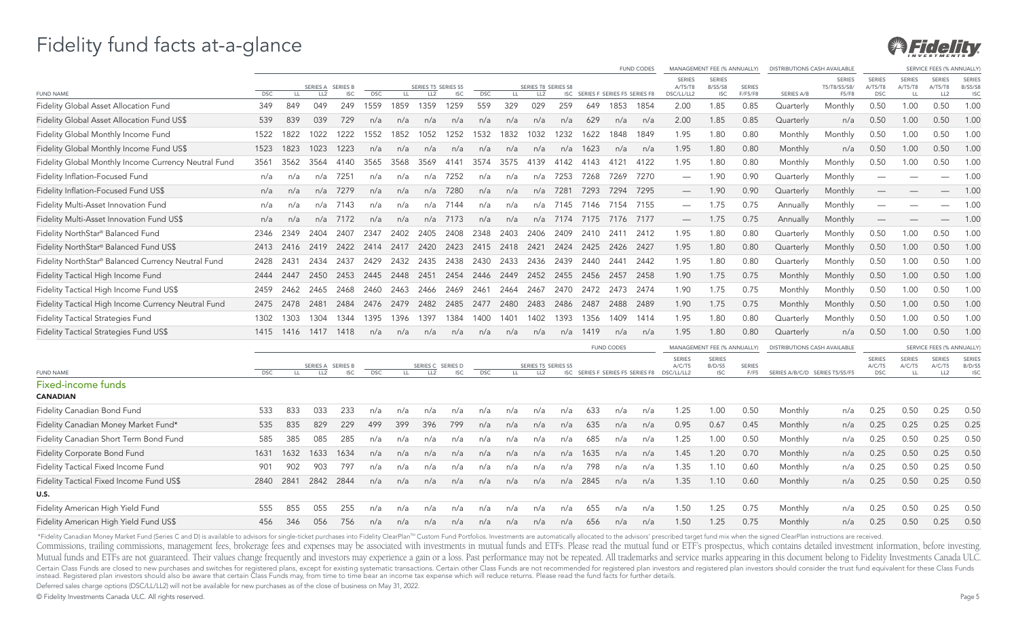

|                                                      |            |           |                 |                                 |            |      |                                        |                        |            |      |                                        |      |      |                                  | <b>FUND CODES</b>                |                                        | MANAGEMENT FEE (% ANNUALLY)                   |                          | <b>DISTRIBUTIONS CASH AVAILABLE</b> |                                        |                                        |                                       | SERVICE FEES (% ANNUALLY)                  |                                               |
|------------------------------------------------------|------------|-----------|-----------------|---------------------------------|------------|------|----------------------------------------|------------------------|------------|------|----------------------------------------|------|------|----------------------------------|----------------------------------|----------------------------------------|-----------------------------------------------|--------------------------|-------------------------------------|----------------------------------------|----------------------------------------|---------------------------------------|--------------------------------------------|-----------------------------------------------|
| <b>FUND NAME</b>                                     | <b>DSC</b> | LL.       | LL <sub>2</sub> | SERIES A SERIES B<br><b>ISC</b> | <b>DSC</b> | LL   | SERIES T5 SERIES S5<br>LL <sub>2</sub> | <b>ISC</b>             | <b>DSC</b> | LL   | SERIES T8 SERIES S8<br>LL <sub>2</sub> |      |      | ISC SERIES F SERIES F5 SERIES F8 |                                  | <b>SERIES</b><br>A/T5/T8<br>DSC/LL/LL2 | <b>SERIES</b><br><b>B/S5/S8</b><br><b>ISC</b> | <b>SERIES</b><br>F/F5/F8 | SERIES A/B                          | <b>SERIES</b><br>T5/T8/S5/S8/<br>F5/F8 | <b>SERIES</b><br>A/T5/T8<br><b>DSC</b> | <b>SERIES</b><br>A/T5/T8<br><b>LL</b> | <b>SERIES</b><br>A/T5/T8<br>LL2            | <b>SERIES</b><br><b>B/S5/S8</b><br><b>ISC</b> |
| Fidelity Global Asset Allocation Fund                | 349        | 849       | 049             | 249                             | 1559       | 1859 | 1359                                   | 259                    | 559        | 329  | 029                                    | 259  | 649  | 1853                             | 1854                             | 2.00                                   | 1.85                                          | 0.85                     | Quarterly                           | Monthly                                | 0.50                                   | 1.00                                  | 0.50                                       | 1.00                                          |
| Fidelity Global Asset Allocation Fund US\$           | 539        | 839       | 039             | 729                             | n/a        | n/a  | n/a                                    | n/a                    | n/a        | n/a  | n/a                                    | n/a  | 629  | n/a                              | n/a                              | 2.00                                   | 1.85                                          | 0.85                     | Quarterly                           | n/a                                    | 0.50                                   | 1.00                                  | 0.50                                       | 1.00                                          |
| Fidelity Global Monthly Income Fund                  | 1522       | 1822      | 1022            | 1222                            | 1552       | 1852 | 1052                                   | 1252                   | 1532       | 1832 | 1032                                   | 1232 | 1622 | 1848                             | 1849                             | 1.95                                   | 1.80                                          | 0.80                     | Monthly                             | Monthly                                | 0.50                                   | 1.00                                  | 0.50                                       | 1.00                                          |
| Fidelity Global Monthly Income Fund US\$             | 1523       | 1823      | 1023            | 1223                            | n/a        | n/a  | n/a                                    | n/a                    | n/a        | n/a  | n/a                                    | n/a  | 1623 | n/a                              | n/a                              | 1.95                                   | 1.80                                          | 0.80                     | Monthly                             | n/a                                    | 0.50                                   | 1.00                                  | 0.50                                       | 1.00                                          |
| Fidelity Global Monthly Income Currency Neutral Fund | 3561       | 3562      | 3564            | 4140                            | 3565       | 3568 | 3569                                   | 4141                   | 3574       | 3575 | 4139                                   | 4142 | 4143 | 4121                             | 4122                             | 1.95                                   | 1.80                                          | 0.80                     | Monthly                             | Monthly                                | 0.50                                   | 1.00                                  | 0.50                                       | 1.00                                          |
| Fidelity Inflation-Focused Fund                      | n/a        | n/a       | n/a             | 7251                            | n/a        | n/a  | n/a                                    | 7252                   | n/a        | n/a  | n/a                                    | 7253 | 7268 | 7269                             | 7270                             | $\overbrace{\phantom{1232211}}$        | 1.90                                          | 0.90                     | Quarterly                           | Monthly                                | $\overline{\phantom{0}}$               |                                       |                                            | 1.00                                          |
| Fidelity Inflation-Focused Fund US\$                 | n/a        | n/a       | n/a             | 7279                            | n/a        | n/a  | n/a                                    | 7280                   | n/a        | n/a  | n/a                                    | 7281 | 7293 | 7294                             | 7295                             | $\overline{\phantom{m}}$               | 1.90                                          | 0.90                     | Quarterly                           | Monthly                                |                                        |                                       |                                            | 1.00                                          |
| Fidelity Multi-Asset Innovation Fund                 | n/a        | n/a       | n/a             | 7143                            | n/a        | n/a  | n/a                                    | 7144                   | n/a        | n/a  | n/a                                    | 7145 | 7146 | 7154                             | 7155                             | $\overline{\phantom{0}}$               | 1.75                                          | 0.75                     | Annually                            | Monthly                                | $\overline{\phantom{0}}$               |                                       |                                            | 1.00                                          |
| Fidelity Multi-Asset Innovation Fund US\$            | n/a        | n/a       | n/a             | 7172                            | n/a        | n/a  | n/a                                    | 7173                   | n/a        | n/a  | n/a                                    | 7174 | 7175 | 7176                             | 7177                             |                                        | 1.75                                          | 0.75                     | Annually                            | Monthly                                |                                        |                                       |                                            | 1.00                                          |
| Fidelity NorthStar® Balanced Fund                    | 2346       | 2349      | 2404            | 2407                            | 2347       | 2402 | 2405                                   | 2408                   | 2348       | 2403 | 2406                                   | 2409 | 2410 | 2411                             | 2412                             | 1.95                                   | 1.80                                          | 0.80                     | Quarterly                           | Monthly                                | 0.50                                   | 1.00                                  | 0.50                                       | 1.00                                          |
| Fidelity NorthStar® Balanced Fund US\$               | 2413       | 2416      | 2419            | 2422                            | 2414       | 2417 | 2420                                   | 2423                   | 2415       | 2418 | 2421                                   | 2424 | 2425 | 2426                             | 2427                             | 1.95                                   | 1.80                                          | 0.80                     | Quarterly                           | Monthly                                | 0.50                                   | 1.00                                  | 0.50                                       | 1.00                                          |
| Fidelity NorthStar® Balanced Currency Neutral Fund   | 2428       | 2431      | 2434            | 2437                            | 2429       | 2432 | 2435                                   | 2438                   | 2430       | 2433 | 2436                                   | 2439 | 2440 | 2441                             | 2442                             | 1.95                                   | 1.80                                          | 0.80                     | Quarterly                           | Monthly                                | 0.50                                   | 1.00                                  | 0.50                                       | 1.00                                          |
| Fidelity Tactical High Income Fund                   | 2444       | 2447      | 2450            | 2453                            | 2445       | 2448 | 2451                                   | 2454                   | 2446       | 2449 | 2452                                   | 2455 | 2456 | 2457                             | 2458                             | 1.90                                   | 1.75                                          | 0.75                     | Monthly                             | Monthly                                | 0.50                                   | 1.00                                  | 0.50                                       | 1.00                                          |
| Fidelity Tactical High Income Fund US\$              | 2459       | 2462      | 2465            | 2468                            | 2460       | 2463 | 2466                                   | 2469                   | 2461       | 2464 | 2467                                   | 2470 | 2472 | 2473                             | 2474                             | 1.90                                   | 1.75                                          | 0.75                     | Monthly                             | Monthly                                | 0.50                                   | 1.00                                  | 0.50                                       | 1.00                                          |
| Fidelity Tactical High Income Currency Neutral Fund  | 2475       | 2478      | 2481            | 2484                            | 2476       | 2479 | 2482                                   | 2485                   | 2477       | 2480 | 2483                                   | 2486 | 2487 | 2488                             | 2489                             | 1.90                                   | 1.75                                          | 0.75                     | Monthly                             | Monthly                                | 0.50                                   | 1.00                                  | 0.50                                       | 1.00                                          |
| <b>Fidelity Tactical Strategies Fund</b>             | 1302       | 1303      | 1304            | 1344                            | 1395       | 1396 | 1397                                   | 1384                   | 1400       | 1401 | 1402                                   | 1393 | 1356 | 1409                             | 1414                             | 1.95                                   | 1.80                                          | 0.80                     | Quarterly                           | Monthly                                | 0.50                                   | 1.00                                  | 0.50                                       | 1.00                                          |
| Fidelity Tactical Strategies Fund US\$               |            | 1415 1416 | 1417            | 1418                            | n/a        | n/a  | n/a                                    | n/a                    | n/a        | n/a  | n/a                                    | n/a  | 1419 | n/a                              | n/a                              | 1.95                                   | 1.80                                          | 0.80                     | Quarterly                           | n/a                                    | 0.50                                   | 1.00                                  | 0.50                                       | 1.00                                          |
|                                                      |            |           |                 |                                 |            |      |                                        |                        |            |      |                                        |      |      | <b>FUND CODES</b>                |                                  |                                        | MANAGEMENT FEE (% ANNUALLY)                   |                          | <b>DISTRIBUTIONS CASH AVAILABLE</b> |                                        |                                        |                                       | SERVICE FEES (% ANNUALLY)                  |                                               |
| <b>FUND NAME</b>                                     | <b>DSC</b> | LL.       | LL <sub>2</sub> | SERIES A SERIES B<br><b>ISC</b> | <b>DSC</b> | LL.  | SERIES C<br>LL <sub>2</sub>            | SERIES D<br><b>ISC</b> | <b>DSC</b> | LL.  | SERIES T5 SERIES S5<br>LL <sub>2</sub> |      |      |                                  | ISC SERIES F SERIES F5 SERIES F8 | <b>SERIES</b><br>A/C/T5<br>DSC/LL/LL2  | <b>SERIES</b><br>B/D/55<br><b>ISC</b>         | <b>SERIES</b><br>F/F5    | SERIES A/B/C/D SERIES T5/S5/F5      |                                        | <b>SERIES</b><br>A/C/T5<br><b>DSC</b>  | <b>SERIES</b><br>A/C/T5<br>LL         | <b>SERIES</b><br>A/C/T5<br>LL <sub>2</sub> | <b>SERIES</b><br>B/D/55<br><b>ISC</b>         |
| <b>Fixed-income funds</b><br><b>CANADIAN</b>         |            |           |                 |                                 |            |      |                                        |                        |            |      |                                        |      |      |                                  |                                  |                                        |                                               |                          |                                     |                                        |                                        |                                       |                                            |                                               |
| Fidelity Canadian Bond Fund                          | 533        | 833       | 033             | 233                             | n/a        | n/a  | n/a                                    | n/a                    | n/a        | n/a  | n/a                                    | n/a  | 633  | n/a                              | n/a                              | 1.25                                   | 1.00                                          | 0.50                     | Monthly                             | n/a                                    | 0.25                                   | 0.50                                  | 0.25                                       | 0.50                                          |
| Fidelity Canadian Money Market Fund*                 | 535        | 835       | 829             | 229                             | 499        | 399  | 396                                    | 799                    | n/a        | n/a  | n/a                                    | n/a  | 635  | n/a                              | n/a                              | 0.95                                   | 0.67                                          | 0.45                     | Monthly                             | n/a                                    | 0.25                                   | 0.25                                  | 0.25                                       | 0.25                                          |
| Fidelity Canadian Short Term Bond Fund               | 585        | 385       | 085             | 285                             | n/a        | n/a  | n/a                                    | n/a                    | n/a        | n/a  | n/a                                    | n/a  | 685  | n/a                              | n/a                              | 1.25                                   | 1.00                                          | 0.50                     | Monthly                             | n/a                                    | 0.25                                   | 0.50                                  | 0.25                                       | 0.50                                          |
| Fidelity Corporate Bond Fund                         | 1631       | 1632      | 1633            | 1634                            | n/a        | n/a  | n/a                                    | n/a                    | n/a        | n/a  | n/a                                    | n/a  | 1635 | n/a                              | n/a                              | 1.45                                   | 1.20                                          | 0.70                     | Monthly                             | n/a                                    | 0.25                                   | 0.50                                  | 0.25                                       | 0.50                                          |
| Fidelity Tactical Fixed Income Fund                  | 901        | 902       | 903             | 797                             | n/a        | n/a  | n/a                                    | n/a                    | n/a        | n/a  | n/a                                    | n/a  | 798  | n/a                              | n/a                              | 1.35                                   | 1.10                                          | 0.60                     | Monthly                             | n/a                                    | 0.25                                   | 0.50                                  | 0.25                                       | 0.50                                          |
| Fidelity Tactical Fixed Income Fund US\$             | 2840       | 2841      | 2842            | 2844                            | n/a        | n/a  | n/a                                    | n/a                    | n/a        | n/a  | n/a                                    | n/a  | 2845 | n/a                              | n/a                              | 1.35                                   | 1.10                                          | 0.60                     | Monthly                             | n/a                                    | 0.25                                   | 0.50                                  | 0.25                                       | 0.50                                          |
| U.S.                                                 |            |           |                 |                                 |            |      |                                        |                        |            |      |                                        |      |      |                                  |                                  |                                        |                                               |                          |                                     |                                        |                                        |                                       |                                            |                                               |
| Fidelity American High Yield Fund                    | 555        | 855       | 055             | 255                             | n/a        | n/a  | n/a                                    | n/a                    | n/a        | n/a  | n/a                                    | n/a  | 655  | n/a                              | n/a                              | 1.50                                   | 1.25                                          | 0.75                     | Monthly                             | n/a                                    | 0.25                                   | 0.50                                  | 0.25                                       | 0.50                                          |
| Fidelity American High Yield Fund US\$               | 456        | 346       | 056             | 756                             | n/a        | n/a  | n/a                                    | n/a                    | n/a        | n/a  | n/a                                    | n/a  | 656  | n/a                              | n/a                              | 1.50                                   | 1.25                                          | 0.75                     | Monthly                             | n/a                                    | 0.25                                   | 0.50                                  | 0.25                                       | 0.50                                          |

\*Fidelity Canadian Money Market Fund (Series C and D) is available to advisors for single-ticket purchases into Fidelity ClearPlan<sup>m</sup> Custom Fund Portfolios. Investments are automatically allocated to the advisors' prescri

Commissions, trailing commissions, management fees, brokerage fees and expenses may be associated with investments in mutual funds and ETFs. Please read the mutual fund or ETF's prospectus, which contains detailed investme Mutual funds and ETFs are not guaranteed. Their values change frequently and investors may experience a gain or a loss. Past performance may not be repeated. All trademarks and service marks appearing in this document belo Certain Class Funds are closed to new purchases and switches for registered plans, except for existing systematic transactions. Certain other Class Funds are not recommended for registered plan investors and registered pla

Deferred sales charge options (DSC/LL/LL2) will not be available for new purchases as of the close of business on May 31, 2022.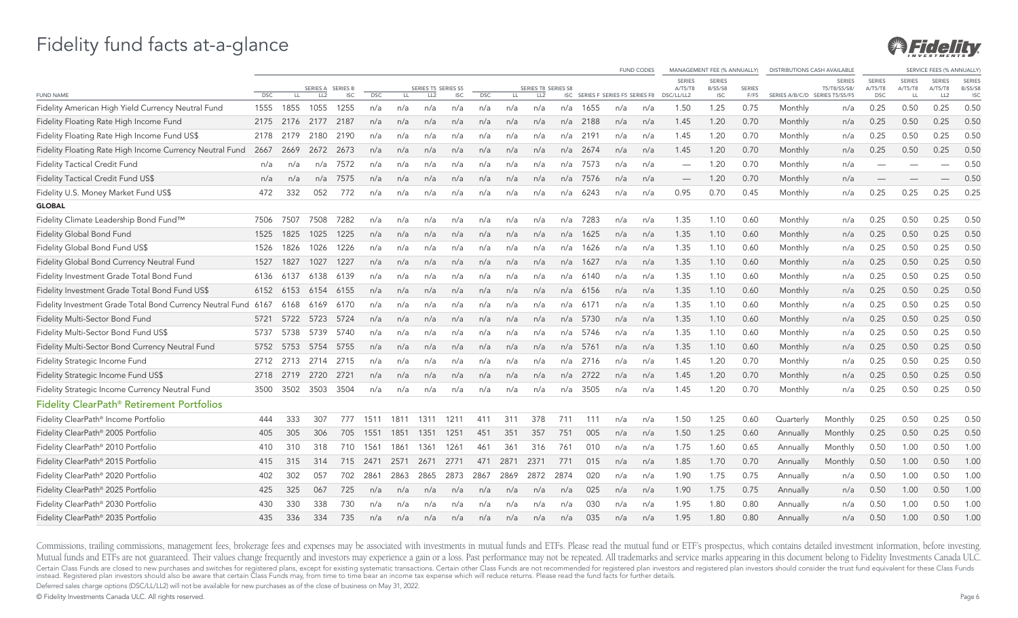

|                                                                 |            |      |                 |                 |            |      |                     |            |            |      |                     |      |                                  |     | <b>FUND CODES</b> |                          | MANAGEMENT FEE (% ANNUALLY)     |               | <b>DISTRIBUTIONS CASH AVAILABLE</b> |                               |                          |                          | SERVICE FEES (% ANNUALLY |                                 |
|-----------------------------------------------------------------|------------|------|-----------------|-----------------|------------|------|---------------------|------------|------------|------|---------------------|------|----------------------------------|-----|-------------------|--------------------------|---------------------------------|---------------|-------------------------------------|-------------------------------|--------------------------|--------------------------|--------------------------|---------------------------------|
|                                                                 |            |      | SERIES A        | <b>SERIES B</b> |            |      | SERIES T5 SERIES S5 |            |            |      | SERIES T8 SERIES S8 |      |                                  |     |                   | <b>SERIES</b><br>A/T5/T8 | <b>SERIES</b><br><b>B/S5/S8</b> | <b>SERIES</b> |                                     | <b>SERIES</b><br>T5/T8/S5/S8/ | <b>SERIES</b><br>A/T5/T8 | <b>SERIES</b><br>A/T5/T8 | <b>SERIES</b><br>A/T5/T8 | <b>SERIES</b><br><b>B/S5/S8</b> |
| <b>FUND NAME</b>                                                | <b>DSC</b> | LL.  | LL <sub>2</sub> | <b>ISC</b>      | <b>DSC</b> | LL.  | LL <sub>2</sub>     | <b>ISC</b> | <b>DSC</b> | LL.  | LL <sub>2</sub>     |      | ISC SERIES F SERIES F5 SERIES F8 |     |                   | DSC/LL/LL2               | <b>ISC</b>                      | F/F5          | SERIES A/B/C/D SERIES T5/S5/F5      |                               | <b>DSC</b>               | <b>LL</b>                | LL2                      | <b>ISC</b>                      |
| Fidelity American High Yield Currency Neutral Fund              | 1555       | 1855 | 1055            | 1255            | n/a        | n/a  | n/a                 | n/a        | n/a        | n/a  | n/a                 | n/a  | 1655                             | n/a | n/a               | 1.50                     | 1.25                            | 0.75          | Monthly                             | n/a                           | 0.25                     | 0.50                     | 0.25                     | 0.50                            |
| Fidelity Floating Rate High Income Fund                         | 2175       | 2176 | 2177            | 2187            | n/a        | n/a  | n/a                 | n/a        | n/a        | n/a  | n/a                 | n/a  | 2188                             | n/a | n/a               | 1.45                     | 1.20                            | 0.70          | Monthly                             | n/a                           | 0.25                     | 0.50                     | 0.25                     | 0.50                            |
| Fidelity Floating Rate High Income Fund US\$                    | 2178       | 2179 | 2180            | 2190            | n/a        | n/a  | n/a                 | n/a        | n/a        | n/a  | n/a                 | n/a  | 2191                             | n/a | n/a               | 1.45                     | 1.20                            | 0.70          | Monthly                             | n/a                           | 0.25                     | 0.50                     | 0.25                     | 0.50                            |
| Fidelity Floating Rate High Income Currency Neutral Fund        | 2667       | 2669 | 2672            | 2673            | n/a        | n/a  | n/a                 | n/a        | n/a        | n/a  | n/a                 | n/a  | 2674                             | n/a | n/a               | 1.45                     | 1.20                            | 0.70          | Monthly                             | n/a                           | 0.25                     | 0.50                     | 0.25                     | 0.50                            |
| Fidelity Tactical Credit Fund                                   | n/a        | n/a  | n/a             | 7572            | n/a        | n/a  | n/a                 | n/a        | n/a        | n/a  | n/a                 | n/a  | 7573                             | n/a | n/a               |                          | 1.20                            | 0.70          | Monthly                             | n/a                           |                          |                          |                          | 0.50                            |
| Fidelity Tactical Credit Fund US\$                              | n/a        | n/a  | n/a             | 7575            | n/a        | n/a  | n/a                 | n/a        | n/a        | n/a  | n/a                 | n/a  | 7576                             | n/a | n/a               |                          | 1.20                            | 0.70          | Monthly                             | n/a                           |                          |                          |                          | 0.50                            |
| Fidelity U.S. Money Market Fund US\$                            | 472        | 332  | 052             | 772             | n/a        | n/a  | n/a                 | n/a        | n/a        | n/a  | n/a                 | n/a  | 6243                             | n/a | n/a               | 0.95                     | 0.70                            | 0.45          | Monthly                             | n/a                           | 0.25                     | 0.25                     | 0.25                     | 0.25                            |
| <b>GLOBAL</b>                                                   |            |      |                 |                 |            |      |                     |            |            |      |                     |      |                                  |     |                   |                          |                                 |               |                                     |                               |                          |                          |                          |                                 |
| Fidelity Climate Leadership Bond Fund™                          | 7506       | 7507 | 7508            | 7282            | n/a        | n/a  | n/a                 | n/a        | n/a        | n/a  | n/a                 | n/a  | 7283                             | n/a | n/a               | 1.35                     | 1.10                            | 0.60          | Monthly                             | n/a                           | 0.25                     | 0.50                     | 0.25                     | 0.50                            |
| Fidelity Global Bond Fund                                       | 1525       | 1825 | 1025            | 1225            | n/a        | n/a  | n/a                 | n/a        | n/a        | n/a  | n/a                 | n/a  | 1625                             | n/a | n/a               | 1.35                     | 1.10                            | 0.60          | Monthly                             | n/a                           | 0.25                     | 0.50                     | 0.25                     | 0.50                            |
| Fidelity Global Bond Fund US\$                                  | 1526       | 1826 | 1026            | 1226            | n/a        | n/a  | n/a                 | n/a        | n/a        | n/a  | n/a                 | n/a  | 1626                             | n/a | n/a               | 1.35                     | 1.10                            | 0.60          | Monthly                             | n/a                           | 0.25                     | 0.50                     | 0.25                     | 0.50                            |
| Fidelity Global Bond Currency Neutral Fund                      | 1527       | 1827 | 1027            | 1227            | n/a        | n/a  | n/a                 | n/a        | n/a        | n/a  | n/a                 | n/a  | 1627                             | n/a | n/a               | 1.35                     | 1.10                            | 0.60          | Monthly                             | n/a                           | 0.25                     | 0.50                     | 0.25                     | 0.50                            |
| Fidelity Investment Grade Total Bond Fund                       | 6136       | 6137 | 6138            | 6139            | n/a        | n/a  | n/a                 | n/a        | n/a        | n/a  | n/a                 | n/a  | 6140                             | n/a | n/a               | 1.35                     | 1.10                            | 0.60          | Monthly                             | n/a                           | 0.25                     | 0.50                     | 0.25                     | 0.50                            |
| Fidelity Investment Grade Total Bond Fund US\$                  | 6152       | 6153 | 6154            | 6155            | n/a        | n/a  | n/a                 | n/a        | n/a        | n/a  | n/a                 | n/a  | 6156                             | n/a | n/a               | 1.35                     | 1.10                            | 0.60          | Monthly                             | n/a                           | 0.25                     | 0.50                     | 0.25                     | 0.50                            |
| Fidelity Investment Grade Total Bond Currency Neutral Fund 6167 |            | 6168 | 6169            | 6170            | n/a        | n/a  | n/a                 | n/a        | n/a        | n/a  | n/a                 | n/a  | 6171                             | n/a | n/a               | 1.35                     | 1.10                            | 0.60          | Monthly                             | n/a                           | 0.25                     | 0.50                     | 0.25                     | 0.50                            |
| Fidelity Multi-Sector Bond Fund                                 | 5721       | 5722 | 5723            | 5724            | n/a        | n/a  | n/a                 | n/a        | n/a        | n/a  | n/a                 | n/a  | 5730                             | n/a | n/a               | 1.35                     | 1.10                            | 0.60          | Monthly                             | n/a                           | 0.25                     | 0.50                     | 0.25                     | 0.50                            |
| Fidelity Multi-Sector Bond Fund US\$                            | 5737       | 5738 | 5739            | 5740            | n/a        | n/a  | n/a                 | n/a        | n/a        | n/a  | n/a                 | n/a  | 5746                             | n/a | n/a               | 1.35                     | 1.10                            | 0.60          | Monthly                             | n/a                           | 0.25                     | 0.50                     | 0.25                     | 0.50                            |
| Fidelity Multi-Sector Bond Currency Neutral Fund                | 5752       | 5753 | 5754            | 5755            | n/a        | n/a  | n/a                 | n/a        | n/a        | n/a  | n/a                 | n/a  | 5761                             | n/a | n/a               | 1.35                     | 1.10                            | 0.60          | Monthly                             | n/a                           | 0.25                     | 0.50                     | 0.25                     | 0.50                            |
| Fidelity Strategic Income Fund                                  | 2712       | 2713 | 2714            | 2715            | n/a        | n/a  | n/a                 | n/a        | n/a        | n/a  | n/a                 | n/a  | 2716                             | n/a | n/a               | 1.45                     | 1.20                            | 0.70          | Monthly                             | n/a                           | 0.25                     | 0.50                     | 0.25                     | 0.50                            |
| Fidelity Strategic Income Fund US\$                             | 2718       | 2719 | 2720            | 2721            | n/a        | n/a  | n/a                 | n/a        | n/a        | n/a  | n/a                 | n/a  | 2722                             | n/a | n/a               | 1.45                     | 1.20                            | 0.70          | Monthly                             | n/a                           | 0.25                     | 0.50                     | 0.25                     | 0.50                            |
| Fidelity Strategic Income Currency Neutral Fund                 | 3500       | 3502 | 3503            | 3504            | n/a        | n/a  | n/a                 | n/a        | n/a        | n/a  | n/a                 | n/a  | 3505                             | n/a | n/a               | 1.45                     | 1.20                            | 0.70          | Monthly                             | n/a                           | 0.25                     | 0.50                     | 0.25                     | 0.50                            |
| Fidelity ClearPath® Retirement Portfolios                       |            |      |                 |                 |            |      |                     |            |            |      |                     |      |                                  |     |                   |                          |                                 |               |                                     |                               |                          |                          |                          |                                 |
| Fidelity ClearPath® Income Portfolio                            | 444        | 333  | 307             |                 | 1511       | 1811 | 131'                | 1211       | 411        | 311  | 378                 |      | 111                              | n/a | n/a               | 1.50                     | 1.25                            | 0.60          | Quarterly                           | Monthly                       | 0.25                     | 0.50                     | 0.25                     | 0.50                            |
| Fidelity ClearPath® 2005 Portfolio                              | 405        | 305  | 306             | 705             | 1551       | 1851 | 1351                | 1251       | 451        | 351  | 357                 | 751  | 005                              | n/a | n/a               | 1.50                     | 1.25                            | 0.60          | Annually                            | Monthly                       | 0.25                     | 0.50                     | 0.25                     | 0.50                            |
| Fidelity ClearPath® 2010 Portfolio                              | 410        | 310  | 318             | 710             | 1561       | 1861 | 1361                | 1261       | 461        | 361  | 316                 | 761  | 010                              | n/a | n/a               | 1.75                     | 1.60                            | 0.65          | Annually                            | Monthly                       | 0.50                     | 1.00                     | 0.50                     | 1.00                            |
| Fidelity ClearPath® 2015 Portfolio                              | 415        | 315  | 314             | 715             | 2471       | 2571 | 2671                | 2771       | 471        | 2871 | 2371                | 771  | 015                              | n/a | n/a               | 1.85                     | 1.70                            | 0.70          | Annually                            | Monthly                       | 0.50                     | 1.00                     | 0.50                     | 1.00                            |
| Fidelity ClearPath® 2020 Portfolio                              | 402        | 302  | 057             | 702             | 2861       | 2863 | 2865                | 2873       | 2867       | 2869 | 2872                | 2874 | 020                              | n/a | n/a               | 1.90                     | 1.75                            | 0.75          | Annually                            | n/a                           | 0.50                     | 1.00                     | 0.50                     | 1.00                            |
| Fidelity ClearPath® 2025 Portfolio                              | 425        | 325  | 067             | 725             | n/a        | n/a  | n/a                 | n/a        | n/a        | n/a  | n/a                 | n/a  | 025                              | n/a | n/a               | 1.90                     | 1.75                            | 0.75          | Annually                            | n/a                           | 0.50                     | 1.00                     | 0.50                     | 1.00                            |
| Fidelity ClearPath® 2030 Portfolio                              | 430        | 330  | 338             | 730             | n/a        | n/a  | n/a                 | n/a        | n/a        | n/a  | n/a                 | n/a  | 030                              | n/a | n/a               | 1.95                     | 1.80                            | 0.80          | Annually                            | n/a                           | 0.50                     | 1.00                     | 0.50                     | 1.00                            |
| Fidelity ClearPath® 2035 Portfolio                              | 435        | 336  | 334             | 735             | n/a        | n/a  | n/a                 | n/a        | n/a        | n/a  | n/a                 | n/a  | 035                              | n/a | n/a               | 1.95                     | 1.80                            | 0.80          | Annually                            | n/a                           | 0.50                     | 1.00                     | 0.50                     | 1.00                            |

Commissions, trailing commissions, management fees, brokerage fees and expenses may be associated with investments in mutual funds and ETFs. Please read the mutual fund or ETF's prospectus, which contains detailed investme Mutual funds and ETFs are not guaranteed. Their values change frequently and investors may experience a gain or a loss. Past performance may not be repeated. All trademarks and service marks appearing in this document belo Certain Class Funds are closed to new purchases and switches for registered plans, except for existing systematic transactions. Certain other Class Funds are not recommended for registered plan investors and registered pla

Deferred sales charge options (DSC/LL/LL2) will not be available for new purchases as of the close of business on May 31, 2022.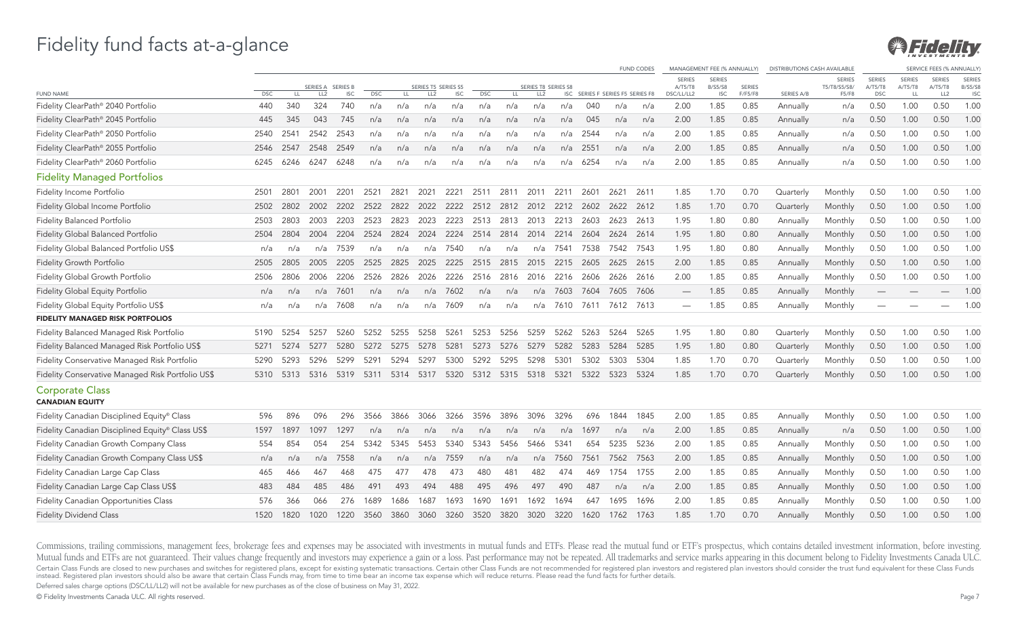

|                                                   |            |      |                 |                 |            |                |                     |            |            |           |                     |          |      |                                  | <b>FUND CODES</b> |                          | MANAGEMENT FEE (% ANNUALLY)     |         | <b>DISTRIBUTIONS CASH AVAILABLE</b> |                        |                          |                          | SERVICE FEES (% ANNUALLY) |                                 |
|---------------------------------------------------|------------|------|-----------------|-----------------|------------|----------------|---------------------|------------|------------|-----------|---------------------|----------|------|----------------------------------|-------------------|--------------------------|---------------------------------|---------|-------------------------------------|------------------------|--------------------------|--------------------------|---------------------------|---------------------------------|
|                                                   |            |      | <b>SERIES A</b> | <b>SERIES B</b> |            |                | SERIES T5 SERIES S5 |            |            |           | SERIES T8 SERIES S8 |          |      |                                  |                   | <b>SERIES</b><br>A/T5/T8 | <b>SERIES</b><br><b>B/S5/S8</b> | SERIES  |                                     | SERIES<br>T5/T8/S5/S8/ | <b>SERIES</b><br>A/T5/T8 | <b>SERIES</b><br>A/T5/T8 | <b>SERIES</b><br>A/T5/T8  | <b>SERIES</b><br><b>B/S5/S8</b> |
| <b>FUND NAME</b>                                  | <b>DSC</b> | LL   | LL <sub>2</sub> | <b>ISC</b>      | <b>DSC</b> | LL.            | LL <sub>2</sub>     | <b>ISC</b> | <b>DSC</b> | LL.       | LL <sub>2</sub>     |          |      | ISC SERIES F SERIES F5 SERIES F8 |                   | DSC/LL/LL2               | <b>ISC</b>                      | F/F5/F8 | <b>SERIES A/B</b>                   | F5/F8                  | <b>DSC</b>               | LL                       | LL2                       | <b>ISC</b>                      |
| Fidelity ClearPath® 2040 Portfolio                | 440        | 340  | 324             | 740             | n/a        | n/a            | n/a                 | n/a        | n/a        | n/a       | n/a                 | n/a      | 040  | n/a                              | n/a               | 2.00                     | 1.85                            | 0.85    | Annually                            | n/a                    | 0.50                     | 1.00                     | 0.50                      | 1.00                            |
| Fidelity ClearPath® 2045 Portfolio                | 445        | 345  | 043             | 745             | n/a        | n/a            | n/a                 | n/a        | n/a        | n/a       | n/a                 | n/a      | 045  | n/a                              | n/a               | 2.00                     | 1.85                            | 0.85    | Annually                            | n/a                    | 0.50                     | 1.00                     | 0.50                      | 1.00                            |
| Fidelity ClearPath® 2050 Portfolio                | 2540       | 2541 | 2542            | 2543            | n/a        | n/a            | n/a                 | n/a        | n/a        | n/a       | n/a                 | n/a      | 2544 | n/a                              | n/a               | 2.00                     | 1.85                            | 0.85    | Annually                            | n/a                    | 0.50                     | 1.00                     | 0.50                      | 1.00                            |
| Fidelity ClearPath® 2055 Portfolio                | 2546       | 2547 | 2548            | 2549            | n/a        | n/a            | n/a                 | n/a        | n/a        | n/a       | n/a                 | n/a      | 2551 | n/a                              | n/a               | 2.00                     | 1.85                            | 0.85    | Annually                            | n/a                    | 0.50                     | 1.00                     | 0.50                      | 1.00                            |
| Fidelity ClearPath® 2060 Portfolio                | 6245       | 6246 | 6247            | 6248            | n/a        | n/a            | n/a                 | n/a        | n/a        | n/a       | n/a                 | n/a      | 6254 | n/a                              | n/a               | 2.00                     | 1.85                            | 0.85    | Annually                            | n/a                    | 0.50                     | 1.00                     | 0.50                      | 1.00                            |
| <b>Fidelity Managed Portfolios</b>                |            |      |                 |                 |            |                |                     |            |            |           |                     |          |      |                                  |                   |                          |                                 |         |                                     |                        |                          |                          |                           |                                 |
| Fidelity Income Portfolio                         | 2501       | 2801 | 2001            | 2201            | 2521       | 2821           | 2021                | 2221       | 2511       | 2811      | 2011                | 2211     | 2601 | 2621                             | 2611              | 1.85                     | 1.70                            | 0.70    | Quarterly                           | Monthly                | 0.50                     | 1.00                     | 0.50                      | 1.00                            |
| Fidelity Global Income Portfolio                  | 2502       | 2802 | 2002            | 2202            | 2522       | 2822           | 2022                | 2222       | 2512       | 2812      | 2012                | 2212     | 2602 | 2622                             | 2612              | 1.85                     | 1.70                            | 0.70    | Quarterly                           | Monthly                | 0.50                     | 1.00                     | 0.50                      | 1.00                            |
| Fidelity Balanced Portfolio                       | 2503       | 2803 | 2003            | 2203            | 2523       | 2823           | 2023                | 2223       | 2513       | 2813      | 2013                | 2213     | 2603 | 2623                             | 2613              | 1.95                     | 1.80                            | 0.80    | Annually                            | Monthly                | 0.50                     | 1.00                     | 0.50                      | 1.00                            |
| Fidelity Global Balanced Portfolio                | 2504       | 2804 | 2004            | 2204            | 2524       | 2824           | 2024                | 2224       | 2514       | 2814      | 2014                | 2214     | 2604 | 2624                             | 2614              | 1.95                     | 1.80                            | 0.80    | Annually                            | Monthly                | 0.50                     | 1.00                     | 0.50                      | 1.00                            |
| Fidelity Global Balanced Portfolio US\$           | n/a        | n/a  | n/a             | 7539            | n/a        | n/a            | n/a                 | 7540       | n/a        | n/a       | n/a                 | 7541     | 7538 | 7542                             | 7543              | 1.95                     | 1.80                            | 0.80    | Annually                            | Monthly                | 0.50                     | 1.00                     | 0.50                      | 1.00                            |
| Fidelity Growth Portfolio                         | 2505       | 2805 | 2005            | 2205            | 2525       | 2825           | 2025                | 2225       | 2515       | 2815      | 2015                | 2215     | 2605 | 2625                             | 2615              | 2.00                     | 1.85                            | 0.85    | Annually                            | Monthly                | 0.50                     | 1.00                     | 0.50                      | 1.00                            |
| Fidelity Global Growth Portfolio                  | 2506       | 2806 | 2006            | 2206            | 2526       | 2826           | 2026                | 2226       | 2516       | 2816      | 2016                | 2216     | 2606 | 2626                             | 2616              | 2.00                     | 1.85                            | 0.85    | Annually                            | Monthly                | 0.50                     | 1.00                     | 0.50                      | 1.00                            |
| Fidelity Global Equity Portfolio                  | n/a        | n/a  | n/a             | 7601            | n/a        | n/a            | n/a                 | 7602       | n/a        | n/a       |                     | n/a 7603 | 7604 | 7605                             | 7606              | $\overline{\phantom{0}}$ | 1.85                            | 0.85    | Annually                            | Monthly                | $\overline{\phantom{m}}$ |                          | $\overline{\phantom{0}}$  | 1.00                            |
| Fidelity Global Equity Portfolio US\$             | n/a        | n/a  | n/a             | 7608            | n/a        | n/a            | n/a                 | 7609       | n/a        | n/a       | n/a                 | 7610     | 7611 | 7612                             | 7613              | $\overline{\phantom{0}}$ | 1.85                            | 0.85    | Annually                            | Monthly                |                          |                          | $\overline{\phantom{0}}$  | 1.00                            |
| <b>FIDELITY MANAGED RISK PORTFOLIOS</b>           |            |      |                 |                 |            |                |                     |            |            |           |                     |          |      |                                  |                   |                          |                                 |         |                                     |                        |                          |                          |                           |                                 |
| Fidelity Balanced Managed Risk Portfolio          | 5190       | 5254 | 5257            | 5260            | 5252       | 5255           | 5258                | 5261       | 5253       | 5256      | 5259                | 5262     | 5263 | 5264                             | 5265              | 1.95                     | 1.80                            | 0.80    | Quarterly                           | Monthly                | 0.50                     | 1.00                     | 0.50                      | 1.00                            |
| Fidelity Balanced Managed Risk Portfolio US\$     | 5271       | 5274 | 5277            | 5280            | 5272       | 5275           | 5278                | 5281       | 5273       | 5276      | 5279                | 5282     | 5283 | 5284                             | 5285              | 1.95                     | 1.80                            | 0.80    | Quarterly                           | Monthly                | 0.50                     | 1.00                     | 0.50                      | 1.00                            |
| Fidelity Conservative Managed Risk Portfolio      | 5290       | 5293 | 5296            | 5299            | 5291       | 5294           | 5297                | 5300       | 5292       | 5295      | 5298                | 5301     | 5302 | 5303                             | 5304              | 1.85                     | 1.70                            | 0.70    | Quarterly                           | Monthly                | 0.50                     | 1.00                     | 0.50                      | 1.00                            |
| Fidelity Conservative Managed Risk Portfolio US\$ | 5310       | 5313 | 5316            |                 |            | 5319 5311 5314 | 5317                | 5320       |            | 5312 5315 | 5318                | 5321     | 5322 | 5323                             | 5324              | 1.85                     | 1.70                            | 0.70    | Quarterly                           | Monthly                | 0.50                     | 1.00                     | 0.50                      | 1.00                            |
| <b>Corporate Class</b><br><b>CANADIAN EQUITY</b>  |            |      |                 |                 |            |                |                     |            |            |           |                     |          |      |                                  |                   |                          |                                 |         |                                     |                        |                          |                          |                           |                                 |
| Fidelity Canadian Disciplined Equity® Class       | 596        | 896  | 096             | 296             | 3566       | 3866           | 3066                | 3266       | 3596       | 3896      | 3096                | 3296     | 696  | 1844                             | 1845              | 2.00                     | 1.85                            | 0.85    | Annually                            | Monthly                | 0.50                     | 1.00                     | 0.50                      | 1.00                            |
| Fidelity Canadian Disciplined Equity® Class US\$  | 1597       | 1897 | 1097            | 1297            | n/a        | n/a            | n/a                 | n/a        | n/a        | n/a       | n/a                 | n/a      | 1697 | n/a                              | n/a               | 2.00                     | 1.85                            | 0.85    | Annually                            | n/a                    | 0.50                     | 1.00                     | 0.50                      | 1.00                            |
| Fidelity Canadian Growth Company Class            | 554        | 854  | 054             | 254             | 5342       | 5345           | 5453                | 5340       | 5343       | 5456      | 5466                | 5341     | 654  | 5235                             | 5236              | 2.00                     | 1.85                            | 0.85    | Annually                            | Monthly                | 0.50                     | 1.00                     | 0.50                      | 1.00                            |
| Fidelity Canadian Growth Company Class US\$       | n/a        | n/a  | n/a             | 7558            | n/a        | n/a            | n/a                 | 7559       | n/a        | n/a       | n/a                 | 7560     | 7561 | 7562                             | 7563              | 2.00                     | 1.85                            | 0.85    | Annually                            | Monthly                | 0.50                     | 1.00                     | 0.50                      | 1.00                            |
| Fidelity Canadian Large Cap Class                 | 465        | 466  | 467             | 468             | 475        | 477            | 478                 | 473        | 480        | 481       | 482                 | 474      | 469  | 1754                             | 1755              | 2.00                     | 1.85                            | 0.85    | Annually                            | Monthly                | 0.50                     | 1.00                     | 0.50                      | 1.00                            |
| Fidelity Canadian Large Cap Class US\$            | 483        | 484  | 485             | 486             | 491        | 493            | 494                 | 488        | 495        | 496       | 497                 | 490      | 487  | n/a                              | n/a               | 2.00                     | 1.85                            | 0.85    | Annually                            | Monthly                | 0.50                     | 1.00                     | 0.50                      | 1.00                            |
| Fidelity Canadian Opportunities Class             | 576        | 366  | 066             | 276             | 1689       | 1686           | 1687                | 1693       | 1690       | 1691      | 1692                | 1694     | 647  | 1695                             | 1696              | 2.00                     | 1.85                            | 0.85    | Annually                            | Monthly                | 0.50                     | 1.00                     | 0.50                      | 1.00                            |
| <b>Fidelity Dividend Class</b>                    | 1520       | 1820 | 1020            | 1220            | 3560       | 3860           | 3060                | 3260       | 3520       | 3820      | 3020                | 3220     | 1620 | 1762                             | 1763              | 1.85                     | 1.70                            | 0.70    | Annually                            | Monthly                | 0.50                     | 1.00                     | 0.50                      | 1.00                            |

Commissions, trailing commissions, management fees, brokerage fees and expenses may be associated with investments in mutual funds and ETFs. Please read the mutual fund or ETF's prospectus, which contains detailed investme Mutual funds and ETFs are not guaranteed. Their values change frequently and investors may experience a gain or a loss. Past performance may not be repeated. All trademarks and service marks appearing in this document belo Certain Class Funds are closed to new purchases and switches for registered plans, except for existing systematic transactions. Certain other Class Funds are not recommended for registered plan investors and registered pla

Deferred sales charge options (DSC/LL/LL2) will not be available for new purchases as of the close of business on May 31, 2022.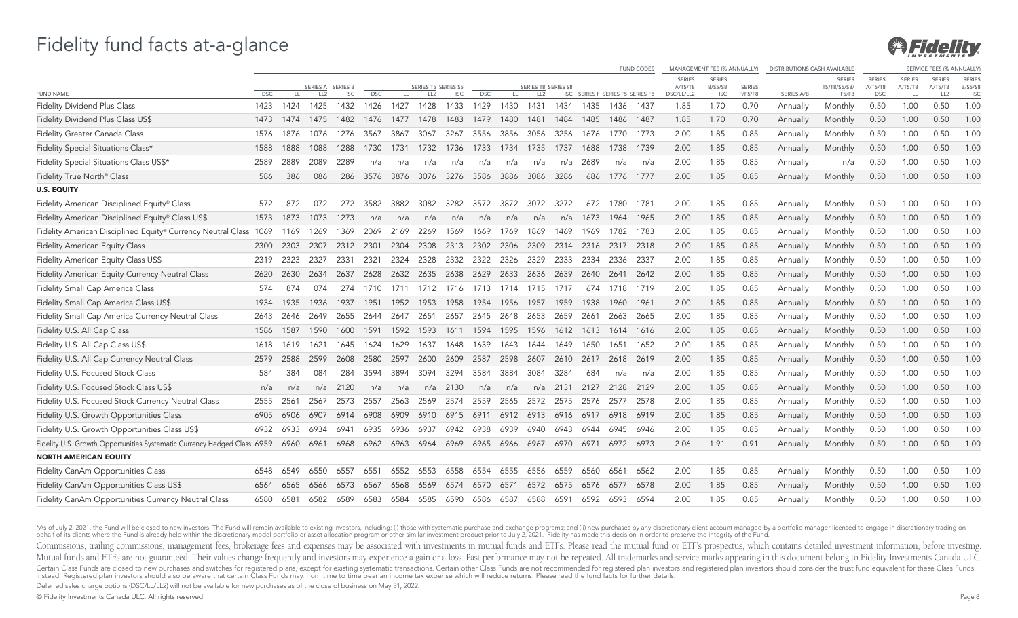

|                                                                               |            |      |                 |                 |            |      |                     |            |            |      |                     |           |                                  |           | <b>FUND CODES</b> | MANAGEMENT FEE (% ANNUALLY) |                                 |               | <b>DISTRIBUTIONS CASH AVAILABLE</b> |                               |                          |                          | <b>SERVICE FEES (% ANNUALLY</b> |                                 |
|-------------------------------------------------------------------------------|------------|------|-----------------|-----------------|------------|------|---------------------|------------|------------|------|---------------------|-----------|----------------------------------|-----------|-------------------|-----------------------------|---------------------------------|---------------|-------------------------------------|-------------------------------|--------------------------|--------------------------|---------------------------------|---------------------------------|
|                                                                               |            |      | SERIES A        | <b>SERIES B</b> |            |      | SERIES T5 SERIES S5 |            |            |      | SERIES T8 SERIES S8 |           |                                  |           |                   | <b>SERIES</b><br>A/T5/T8    | <b>SERIES</b><br><b>B/S5/S8</b> | <b>SERIES</b> |                                     | <b>SERIES</b><br>T5/T8/S5/S8/ | <b>SERIES</b><br>A/T5/T8 | <b>SERIES</b><br>A/T5/T8 | <b>SERIES</b><br>A/T5/T8        | <b>SERIES</b><br><b>B/S5/S8</b> |
| <b>FUND NAME</b>                                                              | <b>DSC</b> | LL.  | LL <sub>2</sub> | <b>ISC</b>      | <b>DSC</b> | LL.  | LL <sub>2</sub>     | <b>ISC</b> | <b>DSC</b> | LL.  | LL <sub>2</sub>     |           | ISC SERIES F SERIES F5 SERIES F8 |           |                   | DSC/LL/LL2                  | <b>ISC</b>                      | F/F5/F8       | SERIES A/B                          | F5/F8                         | <b>DSC</b>               | LL                       | LL <sub>2</sub>                 | <b>ISC</b>                      |
| Fidelity Dividend Plus Class                                                  | 1423       | 1424 | 1425            | 1432            | 1426       | 1427 | 1428                | 1433       | 1429       | 1430 | 1431                | 1434      | 1435                             | 1436      | 1437              | 1.85                        | 1.70                            | 0.70          | Annually                            | Monthly                       | 0.50                     | 1.00                     | 0.50                            | 1.00                            |
| Fidelity Dividend Plus Class US\$                                             | 1473       | 1474 | 1475            | 1482            | 1476       | 1477 | 1478                | 1483       | 1479       | 1480 | 1481                | 1484      | 1485                             | 1486      | 1487              | 1.85                        | 1.70                            | 0.70          | Annually                            | Monthly                       | 0.50                     | 1.00                     | 0.50                            | 1.00                            |
| Fidelity Greater Canada Class                                                 | 1576       | 1876 | 1076            | 1276            | 3567       | 3867 | 3067                | 3267       | 3556       | 3856 | 3056                | 3256      | 1676                             | 1770      | 1773              | 2.00                        | 1.85                            | 0.85          | Annually                            | Monthly                       | 0.50                     | 1.00                     | 0.50                            | 1.00                            |
| Fidelity Special Situations Class*                                            | 1588       | 1888 | 1088            | 1288            | 1730       | 1731 | 1732                | 1736       | 1733       | 1734 | 1735                | 1737      | 1688                             | 1738      | 1739              | 2.00                        | 1.85                            | 0.85          | Annually                            | Monthly                       | 0.50                     | 1.00                     | 0.50                            | 1.00                            |
| Fidelity Special Situations Class US\$*                                       | 2589       | 2889 | 2089            | 2289            | n/a        | n/a  | n/a                 | n/a        | n/a        | n/a  | n/a                 | n/a       | 2689                             | n/a       | n/a               | 2.00                        | 1.85                            | 0.85          | Annually                            | n/a                           | 0.50                     | 1.00                     | 0.50                            | 1.00                            |
| Fidelity True North <sup>®</sup> Class                                        | 586        | 386  | 086             | 286             | 3576       | 3876 | 3076                | 3276       | 3586       | 3886 | 3086                | 3286      | 686                              | 1776      | 1777              | 2.00                        | 1.85                            | 0.85          | Annually                            | Monthly                       | 0.50                     | 1.00                     | 0.50                            | 1.00                            |
| <b>U.S. EQUITY</b>                                                            |            |      |                 |                 |            |      |                     |            |            |      |                     |           |                                  |           |                   |                             |                                 |               |                                     |                               |                          |                          |                                 |                                 |
| Fidelity American Disciplined Equity® Class                                   | 572        | 872  | 072             | 272             | 3582       | 3882 | 3082                | 3282       | 3572       | 3872 | 3072                | 3272      | 672                              | 1780      | 1781              | 2.00                        | 1.85                            | 0.85          | Annually                            | Monthly                       | 0.50                     | 1.00                     | 0.50                            | 1.00                            |
| Fidelity American Disciplined Equity® Class US\$                              | 1573       | 1873 | 1073            | 1273            | n/a        | n/a  | n/a                 | n/a        | n/a        | n/a  | n/a                 | n/a       | 1673                             | 1964      | 1965              | 2.00                        | 1.85                            | 0.85          | Annually                            | Monthly                       | 0.50                     | 1.00                     | 0.50                            | 1.00                            |
| Fidelity American Disciplined Equity® Currency Neutral Class 1069             |            | 1169 | 1269            | 1369            | 2069       | 2169 | 2269                | 1569       | 1669       | 1769 | 1869                | 1469      | 1969                             | 1782      | 1783              | 2.00                        | 1.85                            | 0.85          | Annually                            | Monthly                       | 0.50                     | 1.00                     | 0.50                            | 1.00                            |
| <b>Fidelity American Equity Class</b>                                         | 2300       | 2303 | 2307            | 2312            | 2301       | 2304 | 2308                | 2313       | 2302       | 2306 | 2309                | 2314      | 2316                             | 2317      | 2318              | 2.00                        | 1.85                            | 0.85          | Annually                            | Monthly                       | 0.50                     | 1.00                     | 0.50                            | 1.00                            |
| Fidelity American Equity Class US\$                                           | 2319       | 2323 | 2327            | 2331            | 2321       | 2324 | 2328                | 2332       | 2322       | 2326 | 2329                | 2333      | 2334                             | 2336      | 2337              | 2.00                        | 1.85                            | 0.85          | Annually                            | Monthly                       | 0.50                     | 1.00                     | 0.50                            | 1.00                            |
| Fidelity American Equity Currency Neutral Class                               | 2620       | 2630 | 2634            | 2637            | 2628       | 2632 | 2635                | 2638       | 2629       | 2633 | 2636                | 2639      | 2640                             | 2641      | 2642              | 2.00                        | 1.85                            | 0.85          | Annually                            | Monthly                       | 0.50                     | 1.00                     | 0.50                            | 1.00                            |
| Fidelity Small Cap America Class                                              | 574        | 874  | 074             | 274             | 1710       | 1711 | 1712                | 1716       | 1713       | 1714 | 1715                | 1717      | 674                              | 1718      | 1719              | 2.00                        | 1.85                            | 0.85          | Annually                            | Monthly                       | 0.50                     | 1.00                     | 0.50                            | 1.00                            |
| Fidelity Small Cap America Class US\$                                         | 1934       | 1935 | 1936            | 1937            | 1951       | 1952 | 1953                | 1958       | 1954       | 1956 | 1957                | 1959      | 1938                             | 1960      | 1961              | 2.00                        | 1.85                            | 0.85          | Annually                            | Monthly                       | 0.50                     | 1.00                     | 0.50                            | 1.00                            |
| Fidelity Small Cap America Currency Neutral Class                             | 2643       | 2646 | 2649            | 2655            | 2644       | 2647 | 2651                | 2657       | 2645       | 2648 | 2653                | 2659      | 2661                             | 2663      | 2665              | 2.00                        | 1.85                            | 0.85          | Annually                            | Monthly                       | 0.50                     | 1.00                     | 0.50                            | 1.00                            |
| Fidelity U.S. All Cap Class                                                   | 1586       | 1587 | 1590            | 1600            | 1591       | 1592 | 1593                | 1611       | 1594       | 1595 | 1596                | 1612      | 1613                             | 1614      | - 1616            | 2.00                        | 1.85                            | 0.85          | Annually                            | Monthly                       | 0.50                     | 1.00                     | 0.50                            | 1.00                            |
| Fidelity U.S. All Cap Class US\$                                              | 1618       | 1619 | 1621            | 1645            | 1624       | 1629 | 1637                | 1648       | 1639       | 1643 | 1644                | 1649      | 1650                             | 1651      | 1652              | 2.00                        | 1.85                            | 0.85          | Annually                            | Monthly                       | 0.50                     | 1.00                     | 0.50                            | 1.00                            |
| Fidelity U.S. All Cap Currency Neutral Class                                  | 2579       | 2588 | 2599            | 2608            | 2580       | 2597 | 2600                | 2609       | 2587       | 2598 | 2607                | 2610      | 2617                             | 2618      | 2619              | 2.00                        | 1.85                            | 0.85          | Annually                            | Monthly                       | 0.50                     | 1.00                     | 0.50                            | 1.00                            |
| Fidelity U.S. Focused Stock Class                                             | 584        | 384  | 084             | 284             | 3594       | 3894 | 3094                | 3294       | 3584       | 3884 | 3084                | 3284      | 684                              | n/a       | n/a               | 2.00                        | 1.85                            | 0.85          | Annually                            | Monthly                       | 0.50                     | 1.00                     | 0.50                            | 1.00                            |
| Fidelity U.S. Focused Stock Class US\$                                        | n/a        | n/a  | n/a             | 2120            | n/a        | n/a  | n/a                 | 2130       | n/a        | n/a  | n/a                 | 2131      | 2127                             | 2128      | 2129              | 2.00                        | 1.85                            | 0.85          | Annually                            | Monthly                       | 0.50                     | 1.00                     | 0.50                            | 1.00                            |
| Fidelity U.S. Focused Stock Currency Neutral Class                            | 2555       | 2561 | 2567            | 2573            | 2557       | 2563 | 2569                | 2574       | 2559       | 2565 | 2572                | 2575      | 2576                             | 2577      | 2578              | 2.00                        | 1.85                            | 0.85          | Annually                            | Monthly                       | 0.50                     | 1.00                     | 0.50                            | 1.00                            |
| Fidelity U.S. Growth Opportunities Class                                      | 6905       | 6906 | 6907            | 6914            | 6908       | 6909 | 6910                | 6915       | 6911       | 6912 | 6913                | 6916      | 6917                             | 6918      | 6919              | 2.00                        | 1.85                            | 0.85          | Annually                            | Monthly                       | 0.50                     | 1.00                     | 0.50                            | 1.00                            |
| Fidelity U.S. Growth Opportunities Class US\$                                 | 6932       | 6933 | 6934            | 6941            | 6935       | 6936 | 6937                | 6942       | 6938       | 6939 | 6940                | 6943      | 6944                             | 6945      | 6946              | 2.00                        | 1.85                            | 0.85          | Annually                            | Monthly                       | 0.50                     | 1.00                     | 0.50                            | 1.00                            |
| Fidelity U.S. Growth Opportunities Systematic Currency Hedged Class 6959 6960 |            |      |                 | 6961 6968       | 6962       | 6963 | 6964 6969 6965      |            |            | 6966 |                     | 6967 6970 | 6971                             | 6972 6973 |                   | 2.06                        | 1.91                            | 0.91          | Annually                            | Monthly                       | 0.50                     | 1.00                     | 0.50                            | 1.00                            |
| <b>NORTH AMERICAN EQUITY</b>                                                  |            |      |                 |                 |            |      |                     |            |            |      |                     |           |                                  |           |                   |                             |                                 |               |                                     |                               |                          |                          |                                 |                                 |
| Fidelity CanAm Opportunities Class                                            | 6548       | 6549 | 6550            | 6557            | 6551       | 6552 | 6553                | 6558       | 6554       | 6555 | 6556                | 6559      | 6560                             | 6561      | 6562              | 2.00                        | 1.85                            | 0.85          | Annually                            | Monthly                       | 0.50                     | 1.00                     | 0.50                            | 1.00                            |
| Fidelity CanAm Opportunities Class US\$                                       | 6564       | 6565 | 6566            | 6573            | 6567       | 6568 | 6569                | 6574       | 6570       | 6571 | 6572                | 6575      | 6576                             | 6577      | 6578              | 2.00                        | 1.85                            | 0.85          | Annually                            | Monthly                       | 0.50                     | 1.00                     | 0.50                            | 1.00                            |
| Fidelity CanAm Opportunities Currency Neutral Class                           | 6580       | 6581 | 6582            | 6589            | 6583       | 6584 | 6585                | 6590       | 6586       | 6587 | 6588                | 6591      | 6592                             | 6593      | 6594              | 2.00                        | 1.85                            | 0.85          | Annually                            | Monthly                       | 0.50                     | 1.00                     | 0.50                            | 1.00                            |

\*As of July 2, 2021, the Fund will be closed to new investors. The Fund will remain available to existing investors, including: (i) those with systematic purchase and exchange programs; and (ii) new purchases by any discre

Commissions, trailing commissions, management fees, brokerage fees and expenses may be associated with investments in mutual funds and ETFs. Please read the mutual fund or ETF's prospectus, which contains detailed investme Mutual funds and ETFs are not guaranteed. Their values change frequently and investors may experience a gain or a loss. Past performance may not be repeated. All trademarks and service marks appearing in this document belo Certain Class Funds are closed to new purchases and switches for registered plans, except for existing systematic transactions. Certain other Class Funds are not recommended for registered plan investors and registered pla Deferred sales charge options (DSC/LL/LL2) will not be available for new purchases as of the close of business on May 31, 2022.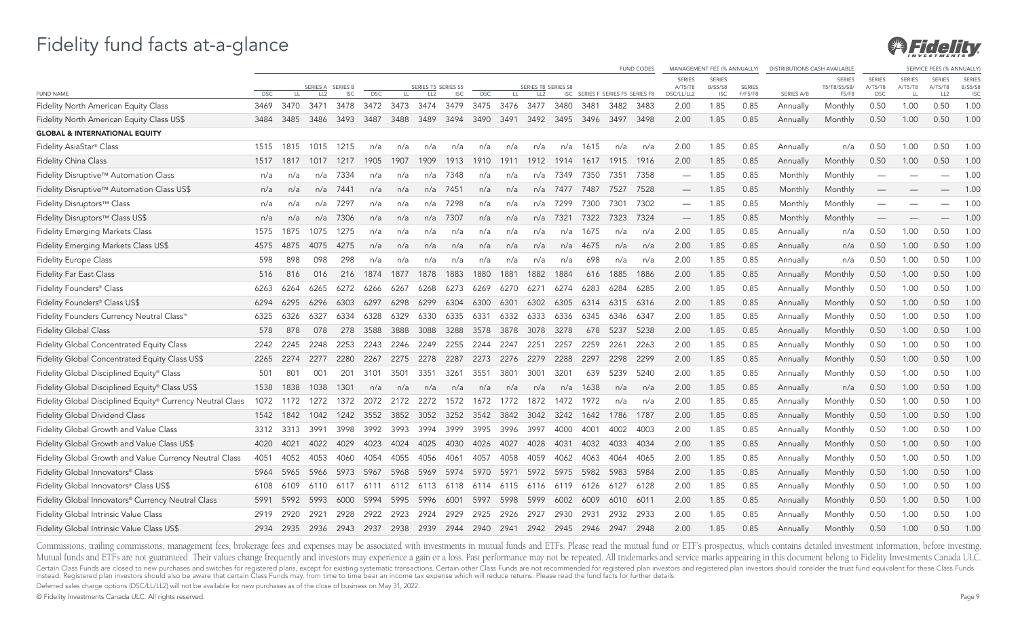

|                                                            |            |      |                 |                                 |            |      |                                        |            |            |      |                                        |      |      |                                  | <b>FUND CODES</b> |                                        | MANAGEMENT FEE (% ANNUALLY)                   |                          | <b>DISTRIBUTIONS CASH AVAILABLE</b> |                                        |                                        |                                | SERVICE FEES (% ANNUALLY)                   |                                               |
|------------------------------------------------------------|------------|------|-----------------|---------------------------------|------------|------|----------------------------------------|------------|------------|------|----------------------------------------|------|------|----------------------------------|-------------------|----------------------------------------|-----------------------------------------------|--------------------------|-------------------------------------|----------------------------------------|----------------------------------------|--------------------------------|---------------------------------------------|-----------------------------------------------|
| <b>FUND NAME</b>                                           | <b>DSC</b> | LL.  | LL <sub>2</sub> | SERIES A SERIES B<br><b>ISC</b> | <b>DSC</b> | LL.  | SERIES T5 SERIES S5<br>LL <sub>2</sub> | <b>ISC</b> | <b>DSC</b> | LL.  | SERIES T8 SERIES S8<br>LL <sub>2</sub> |      |      | ISC SERIES F SERIES F5 SERIES F8 |                   | <b>SERIES</b><br>A/T5/T8<br>DSC/LL/LL2 | <b>SERIES</b><br><b>B/S5/S8</b><br><b>ISC</b> | <b>SERIES</b><br>F/F5/F8 | SERIES A/B                          | <b>SERIES</b><br>T5/T8/S5/S8/<br>F5/F8 | <b>SERIES</b><br>A/T5/T8<br><b>DSC</b> | <b>SERIES</b><br>A/T5/T8<br>LL | <b>SERIES</b><br>A/T5/T8<br>LL <sub>2</sub> | <b>SERIES</b><br><b>B/S5/S8</b><br><b>ISC</b> |
| <b>Fidelity North American Equity Class</b>                | 3469       | 3470 | 3471            | 3478                            | 3472       | 3473 | 3474                                   | 3479       | 3475       | 3476 | 3477                                   | 3480 | 3481 | 3482                             | 3483              | 2.00                                   | 1.85                                          | 0.85                     | Annually                            | Monthly                                | 0.50                                   | 1.00                           | 0.50                                        | 1.00                                          |
| Fidelity North American Equity Class US\$                  | 3484       | 3485 | 3486            | 3493                            | 3487       | 3488 | 3489                                   | 3494       | 3490       | 3491 | 3492                                   | 3495 | 3496 | 3497                             | 3498              | 2.00                                   | 1.85                                          | 0.85                     | Annually                            | Monthly                                | 0.50                                   | 1.00                           | 0.50                                        | 1.00                                          |
| <b>GLOBAL &amp; INTERNATIONAL EQUITY</b>                   |            |      |                 |                                 |            |      |                                        |            |            |      |                                        |      |      |                                  |                   |                                        |                                               |                          |                                     |                                        |                                        |                                |                                             |                                               |
| Fidelity AsiaStar® Class                                   | 1515       | 1815 | 1015            | 1215                            | n/a        | n/a  | n/a                                    | n/a        | n/a        | n/a  | n/a                                    | n/a  | 1615 | n/a                              | n/a               | 2.00                                   | 1.85                                          | 0.85                     | Annually                            | n/a                                    | 0.50                                   | 1.00                           | 0.50                                        | 1.00                                          |
| <b>Fidelity China Class</b>                                | 1517       | 1817 | 1017            | 1217                            | 1905       | 1907 | 1909                                   | 1913       | 1910       | 1911 | 1912                                   | 1914 | 1617 | 1915                             | 1916              | 2.00                                   | 1.85                                          | 0.85                     | Annually                            | Monthly                                | 0.50                                   | 1.00                           | 0.50                                        | 1.00                                          |
| Fidelity Disruptive™ Automation Class                      | n/a        | n/a  | n/a             | 7334                            | n/a        | n/a  | n/a                                    | 7348       | n/a        | n/a  | n/a                                    | 7349 | 7350 | 7351                             | 7358              |                                        | 1.85                                          | 0.85                     | Monthly                             | Monthly                                | $\overline{\phantom{0}}$               |                                |                                             | 1.00                                          |
| Fidelity Disruptive™ Automation Class US\$                 | n/a        | n/a  | n/a             | 7441                            | n/a        | n/a  | n/a                                    | 7451       | n/a        | n/a  | n/a                                    | 7477 | 7487 | 7527                             | 7528              | $\overline{\phantom{0}}$               | 1.85                                          | 0.85                     | Monthly                             | Monthly                                |                                        |                                |                                             | 1.00                                          |
| Fidelity Disruptors™ Class                                 | n/a        | n/a  | n/a             | 7297                            | n/a        | n/a  | n/a                                    | 7298       | n/a        | n/a  | n/a                                    | 7299 | 7300 | 7301                             | 7302              |                                        | 1.85                                          | 0.85                     | Monthly                             | Monthly                                |                                        |                                |                                             | 1.00                                          |
| Fidelity Disruptors™ Class US\$                            | n/a        | n/a  |                 | n/a 7306                        | n/a        | n/a  | n/a                                    | 7307       | n/a        | n/a  | n/a                                    | 7321 | 7322 | 7323                             | 7324              | $\overline{\phantom{a}}$               | 1.85                                          | 0.85                     | Monthly                             | Monthly                                |                                        |                                |                                             | 1.00                                          |
| <b>Fidelity Emerging Markets Class</b>                     | 1575       | 1875 | 1075            | 1275                            | n/a        | n/a  | n/a                                    | n/a        | n/a        | n/a  | n/a                                    | n/a  | 1675 | n/a                              | n/a               | 2.00                                   | 1.85                                          | 0.85                     | Annually                            | n/a                                    | 0.50                                   | 1.00                           | 0.50                                        | 1.00                                          |
| Fidelity Emerging Markets Class US\$                       | 4575       | 4875 | 4075            | 4275                            | n/a        | n/a  | n/a                                    | n/a        | n/a        | n/a  | n/a                                    | n/a  | 4675 | n/a                              | n/a               | 2.00                                   | 1.85                                          | 0.85                     | Annually                            | n/a                                    | 0.50                                   | 1.00                           | 0.50                                        | 1.00                                          |
| <b>Fidelity Europe Class</b>                               | 598        | 898  | 098             | 298                             | n/a        | n/a  | n/a                                    | n/a        | n/a        | n/a  | n/a                                    | n/a  | 698  | n/a                              | n/a               | 2.00                                   | 1.85                                          | 0.85                     | Annually                            | n/a                                    | 0.50                                   | 1.00                           | 0.50                                        | 1.00                                          |
| <b>Fidelity Far East Class</b>                             | 516        | 816  | 016             | 216                             | 1874       | 1877 | 1878                                   | 1883       | 1880       | 1881 | 1882                                   | 1884 | 616  | 1885                             | 1886              | 2.00                                   | 1.85                                          | 0.85                     | Annually                            | Monthly                                | 0.50                                   | 1.00                           | 0.50                                        | 1.00                                          |
| Fidelity Founders® Class                                   | 6263       | 6264 | 6265            | 6272                            | 6266       | 6267 | 6268                                   | 6273       | 6269       | 6270 | 6271                                   | 6274 | 6283 | 6284                             | 6285              | 2.00                                   | 1.85                                          | 0.85                     | Annually                            | Monthly                                | 0.50                                   | 1.00                           | 0.50                                        | 1.00                                          |
| Fidelity Founders® Class US\$                              | 6294       | 6295 | 6296            | 6303                            | 6297       | 6298 | 6299                                   | 6304       | 6300       | 6301 | 6302                                   | 6305 | 6314 | 6315                             | 6316              | 2.00                                   | 1.85                                          | 0.85                     | Annually                            | Monthly                                | 0.50                                   | 1.00                           | 0.50                                        | 1.00                                          |
| Fidelity Founders Currency Neutral Class™                  | 6325       | 6326 | 6327            | 6334                            | 6328       | 6329 | 6330                                   | 6335       | 6331       | 6332 | 6333                                   | 6336 | 6345 | 6346                             | 6347              | 2.00                                   | 1.85                                          | 0.85                     | Annually                            | Monthly                                | 0.50                                   | 1.00                           | 0.50                                        | 1.00                                          |
| <b>Fidelity Global Class</b>                               | 578        | 878  | 078             | 278                             | 3588       | 3888 | 3088                                   | 3288       | 3578       | 3878 | 3078                                   | 3278 | 678  | 5237                             | 5238              | 2.00                                   | 1.85                                          | 0.85                     | Annually                            | Monthly                                | 0.50                                   | 1.00                           | 0.50                                        | 1.00                                          |
| Fidelity Global Concentrated Equity Class                  | 2242       | 2245 | 2248            | 2253                            | 2243       | 2246 | 2249                                   | 2255       | 2244       | 2247 | 2251                                   | 2257 | 2259 | 2261                             | 2263              | 2.00                                   | 1.85                                          | 0.85                     | Annually                            | Monthly                                | 0.50                                   | 1.00                           | 0.50                                        | 1.00                                          |
| Fidelity Global Concentrated Equity Class US\$             | 2265       | 2274 | 2277            | 2280                            | 2267       | 2275 | 2278                                   | 2287       | 2273       | 2276 | 2279                                   | 2288 | 2297 | 2298                             | 2299              | 2.00                                   | 1.85                                          | 0.85                     | Annually                            | Monthly                                | 0.50                                   | 1.00                           | 0.50                                        | 1.00                                          |
| Fidelity Global Disciplined Equity® Class                  | 501        | 801  | 001             | 201                             | 3101       | 3501 | 3351                                   | 3261       | 3551       | 3801 | 3001                                   | 3201 | 639  | 5239                             | 5240              | 2.00                                   | 1.85                                          | 0.85                     | Annually                            | Monthly                                | 0.50                                   | 1.00                           | 0.50                                        | 1.00                                          |
| Fidelity Global Disciplined Equity® Class US\$             | 1538       | 1838 | 1038            | 1301                            | n/a        | n/a  | n/a                                    | n/a        | n/a        | n/a  | n/a                                    | n/a  | 1638 | n/a                              | n/a               | 2.00                                   | 1.85                                          | 0.85                     | Annually                            | n/a                                    | 0.50                                   | 1.00                           | 0.50                                        | 1.00                                          |
| Fidelity Global Disciplined Equity® Currency Neutral Class | 1072       | 1172 | 1272            | 1372                            | 2072       | 2172 | 2272                                   | 1572       | 1672       | 1772 | 1872                                   | 1472 | 1972 | n/a                              | n/a               | 2.00                                   | 1.85                                          | 0.85                     | Annually                            | Monthly                                | 0.50                                   | 1.00                           | 0.50                                        | 1.00                                          |
| <b>Fidelity Global Dividend Class</b>                      | 1542       | 1842 | 1042            | 1242                            | 3552       | 3852 | 3052                                   | 3252       | 3542       | 3842 | 3042                                   | 3242 | 1642 | 1786                             | 1787              | 2.00                                   | 1.85                                          | 0.85                     | Annually                            | Monthly                                | 0.50                                   | 1.00                           | 0.50                                        | 1.00                                          |
| Fidelity Global Growth and Value Class                     | 3312       | 3313 | 3991            | 3998                            | 3992       | 3993 | 3994                                   | 3999       | 3995       | 3996 | 3997                                   | 4000 | 4001 | 4002                             | 4003              | 2.00                                   | 1.85                                          | 0.85                     | Annually                            | Monthly                                | 0.50                                   | 1.00                           | 0.50                                        | 1.00                                          |
| Fidelity Global Growth and Value Class US\$                | 4020       | 4021 | 4022            | 4029                            | 4023       | 4024 | 4025                                   | 4030       | 4026       | 4027 | 4028                                   | 4031 | 4032 | 4033                             | 4034              | 2.00                                   | 1.85                                          | 0.85                     | Annually                            | Monthly                                | 0.50                                   | 1.00                           | 0.50                                        | 1.00                                          |
| Fidelity Global Growth and Value Currency Neutral Class    | 4051       | 4052 | 4053            | 4060                            | 4054       | 4055 | 4056                                   | 4061       | 4057       | 4058 | 4059                                   | 4062 | 4063 | 4064                             | 4065              | 2.00                                   | 1.85                                          | 0.85                     | Annually                            | Monthly                                | 0.50                                   | 1.00                           | 0.50                                        | 1.00                                          |
| Fidelity Global Innovators® Class                          | 5964       | 5965 | 5966            | 5973                            | 5967       | 5968 | 5969                                   | 5974       | 5970       | 5971 | 5972                                   | 5975 | 5982 | 5983                             | 5984              | 2.00                                   | 1.85                                          | 0.85                     | Annually                            | Monthly                                | 0.50                                   | 1.00                           | 0.50                                        | 1.00                                          |
| Fidelity Global Innovators® Class US\$                     | 6108       | 6109 | 6110            | 6117                            | 6111       | 6112 | 6113                                   | 6118       | 6114       | 6115 | 6116                                   | 6119 | 6126 | 6127                             | 6128              | 2.00                                   | 1.85                                          | 0.85                     | Annually                            | Monthly                                | 0.50                                   | 1.00                           | 0.50                                        | 1.00                                          |
| Fidelity Global Innovators® Currency Neutral Class         | 5991       | 5992 | 5993            | 6000                            | 5994       | 5995 | 5996                                   | 6001       | 5997       | 5998 | 5999                                   | 6002 | 6009 | 6010                             | 6011              | 2.00                                   | 1.85                                          | 0.85                     | Annually                            | Monthly                                | 0.50                                   | 1.00                           | 0.50                                        | 1.00                                          |
| Fidelity Global Intrinsic Value Class                      | 2919       | 2920 | 2921            | 2928                            | 2922       | 2923 | 2924                                   | 2929       | 2925       |      |                                        | 2930 | 2931 | 2932                             | 2933              | 2.00                                   | 1.85                                          | 0.85                     | Annually                            | Monthly                                | 0.50                                   | 1.00                           | 0.50                                        | 1.00                                          |
| Fidelity Global Intrinsic Value Class US\$                 | 2934       | 2935 | 2936            | 2943                            | 2937       | 2938 | 2939                                   | 2944       | 2940       | 2941 | 2942                                   | 2945 | 2946 | 2947                             | 2948              | 2.00                                   | 1.85                                          | 0.85                     | Annually                            | Monthly                                | 0.50                                   | 1.00                           | 0.50                                        | 1.00                                          |

Commissions, trailing commissions, management fees, brokerage fees and expenses may be associated with investments in mutual funds and ETFs. Please read the mutual fund or ETF's prospectus, which contains detailed investme Mutual funds and ETFs are not guaranteed. Their values change frequently and investors may experience a gain or a loss. Past performance may not be repeated. All trademarks and service marks appearing in this document belo Certain Class Funds are closed to new purchases and switches for registered plans, except for existing systematic transactions. Certain other Class Funds are not recommended for registered plan investors and registered pla

Deferred sales charge options (DSC/LL/LL2) will not be available for new purchases as of the close of business on May 31, 2022.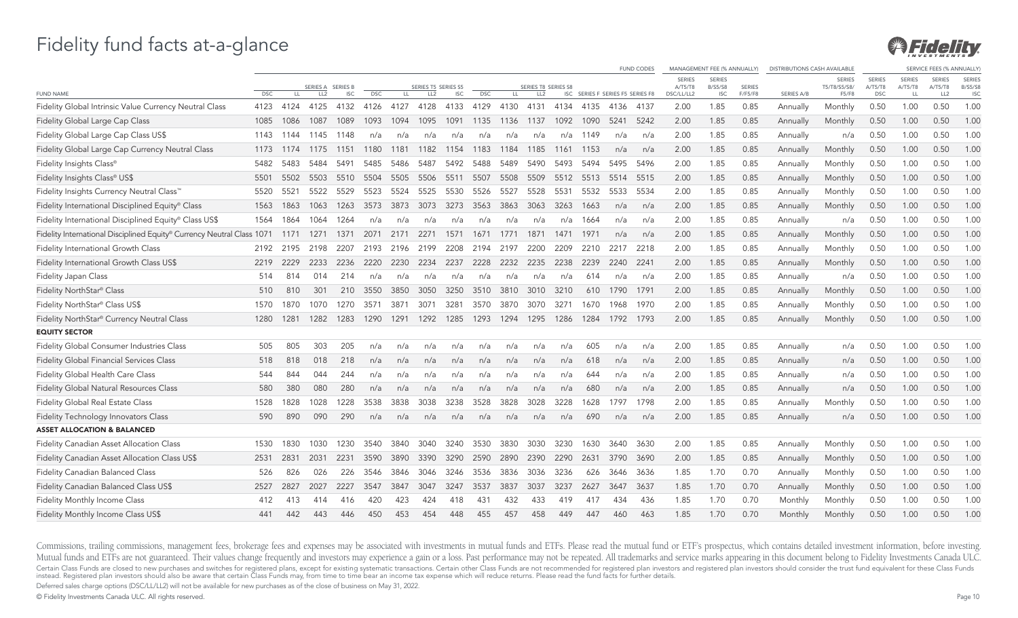

|                                                                        |            |      |                   |            |            |      |                     |            |            |      |                     |      |      |                                  | <b>FUND CODES</b> |                          | MANAGEMENT FEE (% ANNUALLY) |               | <b>DISTRIBUTIONS CASH AVAILABLE</b> |                               |                          |                          | SERVICE FEES (% ANNUALLY) |                                 |
|------------------------------------------------------------------------|------------|------|-------------------|------------|------------|------|---------------------|------------|------------|------|---------------------|------|------|----------------------------------|-------------------|--------------------------|-----------------------------|---------------|-------------------------------------|-------------------------------|--------------------------|--------------------------|---------------------------|---------------------------------|
|                                                                        |            |      | SERIES A SERIES B |            |            |      | SERIES T5 SERIES S5 |            |            |      | SERIES T8 SERIES S8 |      |      |                                  |                   | <b>SERIES</b><br>A/T5/T8 | <b>SERIES</b><br>B/S5/S8    | <b>SERIES</b> |                                     | <b>SERIES</b><br>T5/T8/S5/S8/ | <b>SERIES</b><br>A/T5/T8 | <b>SERIES</b><br>A/T5/T8 | <b>SERIES</b><br>A/T5/T8  | <b>SERIES</b><br><b>B/S5/S8</b> |
| <b>FUND NAME</b>                                                       | <b>DSC</b> | LL.  | LL <sub>2</sub>   | <b>ISC</b> | <b>DSC</b> | LL.  | LL <sub>2</sub>     | <b>ISC</b> | <b>DSC</b> | LL.  | LL <sub>2</sub>     |      |      | ISC SERIES F SERIES F5 SERIES F8 |                   | DSC/LL/LL2               | <b>ISC</b>                  | F/F5/F8       | SERIES A/B                          | F5/F8                         | <b>DSC</b>               | LL                       | LL <sub>2</sub>           | <b>ISC</b>                      |
| Fidelity Global Intrinsic Value Currency Neutral Class                 | 4123       | 4124 | 4125              | 4132       | 4126       | 4127 | 4128                | 4133       | 4129       | 4130 | 4131                | 4134 | 4135 | 4136                             | -4137             | 2.00                     | 1.85                        | 0.85          | Annually                            | Monthly                       | 0.50                     | 1.00                     | 0.50                      | 1.00                            |
| <b>Fidelity Global Large Cap Class</b>                                 | 1085       | 1086 | 1087              | 1089       | 1093       | 1094 | 1095                | 1091       | 1135       | 1136 | 1137                | 1092 | 1090 | 5241                             | 5242              | 2.00                     | 1.85                        | 0.85          | Annually                            | Monthly                       | 0.50                     | 1.00                     | 0.50                      | 1.00                            |
| Fidelity Global Large Cap Class US\$                                   | 1143       | 1144 | 1145              | 1148       | n/a        | n/a  | n/a                 | n/a        | n/a        | n/a  | n/a                 | n/a  | 1149 | n/a                              | n/a               | 2.00                     | 1.85                        | 0.85          | Annually                            | n/a                           | 0.50                     | 1.00                     | 0.50                      | 1.00                            |
| Fidelity Global Large Cap Currency Neutral Class                       | 1173       | 1174 | 1175              | 1151       | 1180       | 1181 | 1182                | 1154       | 1183       | 1184 | 1185                | 1161 | 1153 | n/a                              | n/a               | 2.00                     | 1.85                        | 0.85          | Annually                            | Monthly                       | 0.50                     | 1.00                     | 0.50                      | 1.00                            |
| Fidelity Insights Class®                                               | 5482       | 5483 | 5484              | 5491       | 5485       | 5486 | 5487                | 5492       | 5488       | 5489 | 5490                | 5493 | 5494 | 5495                             | 5496              | 2.00                     | 1.85                        | 0.85          | Annually                            | Monthly                       | 0.50                     | 1.00                     | 0.50                      | 1.00                            |
| Fidelity Insights Class® US\$                                          | 5501       | 5502 | 5503              | 5510       | 5504       | 5505 | 5506                | 5511       | 5507       | 5508 | 5509                | 5512 | 5513 | 5514                             | 5515              | 2.00                     | 1.85                        | 0.85          | Annually                            | Monthly                       | 0.50                     | 1.00                     | 0.50                      | 1.00                            |
| Fidelity Insights Currency Neutral Class™                              | 5520       | 5521 | 5522              | 5529       | 5523       | 5524 | 5525                | 5530       | 5526       | 5527 | 5528                | 5531 | 5532 | 5533                             | 5534              | 2.00                     | 1.85                        | 0.85          | Annually                            | Monthly                       | 0.50                     | 1.00                     | 0.50                      | 1.00                            |
| Fidelity International Disciplined Equity® Class                       | 1563       | 1863 | 1063              | 1263       | 3573       | 3873 | 3073                | 3273       | 3563       | 3863 | 3063                | 3263 | 1663 | n/a                              | n/a               | 2.00                     | 1.85                        | 0.85          | Annually                            | Monthly                       | 0.50                     | 1.00                     | 0.50                      | 1.00                            |
| Fidelity International Disciplined Equity® Class US\$                  | 1564       | 1864 | 1064              | 1264       | n/a        | n/a  | n/a                 | n/a        | n/a        | n/a  | n/a                 | n/a  | 1664 | n/a                              | n/a               | 2.00                     | 1.85                        | 0.85          | Annually                            | n/a                           | 0.50                     | 1.00                     | 0.50                      | 1.00                            |
| Fidelity International Disciplined Equity® Currency Neutral Class 1071 |            | 1171 | 1271              | 1371       | 2071       | 2171 | 2271                | 1571       | 1671       | 1771 | 1871                | 1471 | 1971 | n/a                              | n/a               | 2.00                     | 1.85                        | 0.85          | Annually                            | Monthly                       | 0.50                     | 1.00                     | 0.50                      | 1.00                            |
| Fidelity International Growth Class                                    | 2192       | 2195 | 2198              | 2207       | 2193       | 2196 | 2199                | 2208       | 2194       | 2197 | 2200                | 2209 | 2210 | 2217                             | 2218              | 2.00                     | 1.85                        | 0.85          | Annually                            | Monthly                       | 0.50                     | 1.00                     | 0.50                      | 1.00                            |
| Fidelity International Growth Class US\$                               | 2219       | 2229 | 2233              | 2236       | 2220       | 2230 | 2234                | 2237       | 2228       | 2232 | 2235                | 2238 | 2239 | 2240                             | 2241              | 2.00                     | 1.85                        | 0.85          | Annually                            | Monthly                       | 0.50                     | 1.00                     | 0.50                      | 1.00                            |
| Fidelity Japan Class                                                   | 514        | 814  | 014               | 214        | n/a        | n/a  | n/a                 | n/a        | n/a        | n/a  | n/a                 | n/a  | 614  | n/a                              | n/a               | 2.00                     | 1.85                        | 0.85          | Annually                            | n/a                           | 0.50                     | 1.00                     | 0.50                      | 1.00                            |
| Fidelity NorthStar® Class                                              | 510        | 810  | 301               | 210        | 3550       | 3850 | 3050                | 3250       | 3510       | 3810 | 3010                | 3210 | 610  | 1790                             | 1791              | 2.00                     | 1.85                        | 0.85          | Annually                            | Monthly                       | 0.50                     | 1.00                     | 0.50                      | 1.00                            |
| Fidelity NorthStar® Class US\$                                         | 1570       | 1870 | 1070              | 1270       | 3571       | 387' | 3071                | 3281       | 3570       | 3870 | 3070                | 3271 | 1670 | 1968                             | 1970              | 2.00                     | 1.85                        | 0.85          | Annually                            | Monthly                       | 0.50                     | 1.00                     | 0.50                      | 1.00                            |
| Fidelity NorthStar <sup>®</sup> Currency Neutral Class                 | 1280       | 1281 | 1282              | 1283       | 1290       | 1291 | 1292                | 1285       | 1293       | 1294 | 1295                | 1286 | 1284 | 1792                             | 1793              | 2.00                     | 1.85                        | 0.85          | Annually                            | Monthly                       | 0.50                     | 1.00                     | 0.50                      | 1.00                            |
| <b>EQUITY SECTOR</b>                                                   |            |      |                   |            |            |      |                     |            |            |      |                     |      |      |                                  |                   |                          |                             |               |                                     |                               |                          |                          |                           |                                 |
| Fidelity Global Consumer Industries Class                              | 505        | 805  | 303               | 205        | n/a        | n/a  | n/a                 | n/a        | n/a        | n/a  | n/a                 | n/a  | 605  | n/a                              | n/a               | 2.00                     | 1.85                        | 0.85          | Annually                            | n/a                           | 0.50                     | 1.00                     | 0.50                      | 1.00                            |
| <b>Fidelity Global Financial Services Class</b>                        | 518        | 818  | 018               | 218        | n/a        | n/a  | n/a                 | n/a        | n/a        | n/a  | n/a                 | n/a  | 618  | n/a                              | n/a               | 2.00                     | 1.85                        | 0.85          | Annually                            | n/a                           | 0.50                     | 1.00                     | 0.50                      | 1.00                            |
| Fidelity Global Health Care Class                                      | 544        | 844  | 044               | 244        | n/a        | n/a  | n/a                 | n/a        | n/a        | n/a  | n/a                 | n/a  | 644  | n/a                              | n/a               | 2.00                     | 1.85                        | 0.85          | Annually                            | n/a                           | 0.50                     | 1.00                     | 0.50                      | 1.00                            |
| Fidelity Global Natural Resources Class                                | 580        | 380  | 080               | 280        | n/a        | n/a  | n/a                 | n/a        | n/a        | n/a  | n/a                 | n/a  | 680  | n/a                              | n/a               | 2.00                     | 1.85                        | 0.85          | Annually                            | n/a                           | 0.50                     | 1.00                     | 0.50                      | 1.00                            |
| Fidelity Global Real Estate Class                                      | 1528       | 1828 | 1028              | 1228       | 3538       | 3838 | 3038                | 3238       | 3528       | 3828 | 3028                | 3228 | 1628 | 1797                             | 1798              | 2.00                     | 1.85                        | 0.85          | Annually                            | Monthly                       | 0.50                     | 1.00                     | 0.50                      | 1.00                            |
| <b>Fidelity Technology Innovators Class</b>                            | 590        | 890  | 090               | 290        | n/a        | n/a  | n/a                 | n/a        | n/a        | n/a  | n/a                 | n/a  | 690  | n/a                              | n/a               | 2.00                     | 1.85                        | 0.85          | Annually                            | n/a                           | 0.50                     | 1.00                     | 0.50                      | 1.00                            |
| <b>ASSET ALLOCATION &amp; BALANCED</b>                                 |            |      |                   |            |            |      |                     |            |            |      |                     |      |      |                                  |                   |                          |                             |               |                                     |                               |                          |                          |                           |                                 |
| Fidelity Canadian Asset Allocation Class                               | 1530       | 1830 | 1030              | 1230       | 3540       | 3840 | 3040                | 3240       | 3530       | 3830 | 3030                | 3230 | 1630 | 3640                             | 3630              | 2.00                     | 1.85                        | 0.85          | Annually                            | Monthly                       | 0.50                     | 1.00                     | 0.50                      | 1.00                            |
| Fidelity Canadian Asset Allocation Class US\$                          | 2531       | 2831 | 2031              | 2231       | 3590       | 3890 | 3390                | 3290       | 2590       | 2890 | 2390                | 2290 | 2631 | 3790                             | 3690              | 2.00                     | 1.85                        | 0.85          | Annually                            | Monthly                       | 0.50                     | 1.00                     | 0.50                      | 1.00                            |
| Fidelity Canadian Balanced Class                                       | 526        | 826  | 026               | 226        | 3546       | 3846 | 3046                | 3246       | 3536       | 3836 | 3036                | 3236 | 626  | 3646                             | 3636              | 1.85                     | 1.70                        | 0.70          | Annually                            | Monthly                       | 0.50                     | 1.00                     | 0.50                      | 1.00                            |
| Fidelity Canadian Balanced Class US\$                                  | 2527       | 2827 | 2027              | 2227       | 3547       | 3847 | 3047                | 3247       | 3537       | 3837 | 3037                | 3237 | 2627 | 3647                             | 3637              | 1.85                     | 1.70                        | 0.70          | Annually                            | Monthly                       | 0.50                     | 1.00                     | 0.50                      | 1.00                            |
| Fidelity Monthly Income Class                                          | 412        | 413  | 414               | 416        | 420        | 423  | 424                 | 418        | 431        | 432  | 433                 | 419  | 417  | 434                              | 436               | 1.85                     | 1.70                        | 0.70          | Monthly                             | Monthly                       | 0.50                     | 1.00                     | 0.50                      | 1.00                            |
| Fidelity Monthly Income Class US\$                                     | 441        | 442  | 443               | 446        | 450        | 453  | 454                 | 448        | 455        | 457  | 458                 | 449  | 447  | 460                              | 463               | 1.85                     | 1.70                        | 0.70          | Monthly                             | Monthly                       | 0.50                     | 1.00                     | 0.50                      | 1.00                            |

Commissions, trailing commissions, management fees, brokerage fees and expenses may be associated with investments in mutual funds and ETFs. Please read the mutual fund or ETF's prospectus, which contains detailed investme Mutual funds and ETFs are not guaranteed. Their values change frequently and investors may experience a gain or a loss. Past performance may not be repeated. All trademarks and service marks appearing in this document belo Certain Class Funds are closed to new purchases and switches for registered plans, except for existing systematic transactions. Certain other Class Funds are not recommended for registered plan investors and registered pla

Deferred sales charge options (DSC/LL/LL2) will not be available for new purchases as of the close of business on May 31, 2022.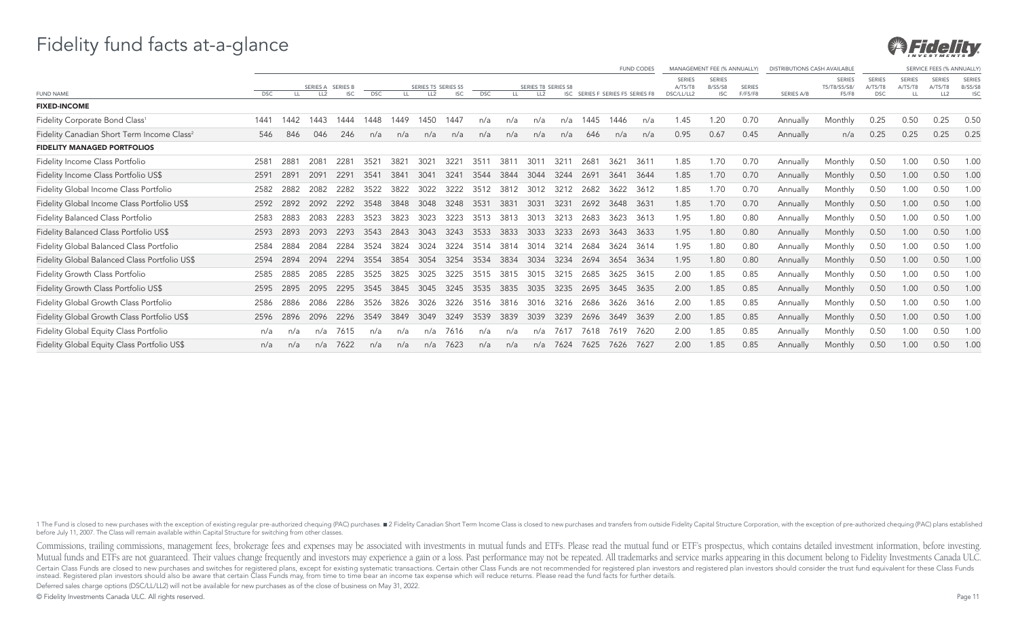

|                                                        |            |      |                  |                 |            |      |                     |               |            |      |                     |      |      |                                  | <b>FUND CODES</b> |                   | MANAGEMENT FEE (% ANNUALLY)     |               | <b>DISTRIBUTIONS CASH AVAILABLE</b> |                               |                          |         | SERVICE FEES (% ANNUALL) |                          |
|--------------------------------------------------------|------------|------|------------------|-----------------|------------|------|---------------------|---------------|------------|------|---------------------|------|------|----------------------------------|-------------------|-------------------|---------------------------------|---------------|-------------------------------------|-------------------------------|--------------------------|---------|--------------------------|--------------------------|
|                                                        |            |      | SERIES A         | <b>SERIES B</b> |            |      | SERIES T5 SERIES S5 |               |            |      | SERIES T8 SERIES S8 |      |      |                                  |                   | SERIE!<br>A/T5/T8 | <b>SERIES</b><br><b>B/S5/S8</b> | <b>SERIES</b> |                                     | <b>SERIES</b><br>T5/T8/S5/S8/ | <b>SERIES</b><br>A/T5/T8 | A/T5/T8 | SERIES<br>A/T5/T8        | SERIES<br><b>B/S5/S8</b> |
| <b>FUND NAME</b>                                       | <b>DSC</b> | LL   | LL <sub>2</sub>  | <b>ISC</b>      | <b>DSC</b> | LL.  | LL <sub>2</sub>     | <b>ISC</b>    | <b>DSC</b> | LL.  | LL <sub>2</sub>     |      |      | ISC SERIES F SERIES F5 SERIES F8 |                   | DSC/LL/LL2        | <b>ISC</b>                      | F/F5/F8       | SERIES A/B                          | F5/F8                         | <b>DSC</b>               | LL      | LL <sub>2</sub>          | <b>ISC</b>               |
| <b>FIXED-INCOME</b>                                    |            |      |                  |                 |            |      |                     |               |            |      |                     |      |      |                                  |                   |                   |                                 |               |                                     |                               |                          |         |                          |                          |
| Fidelity Corporate Bond Class <sup>1</sup>             | 1441       | 1442 | 443              | 1444            | 1448       | 1449 | 1450                | 1447          | n/a        | n/a  | n/a                 | n/a  | 1445 | 1446                             | n/a               | 1.45              | 1.20                            | 0.70          | Annually                            | Monthly                       | 0.25                     | 0.50    | 0.25                     | 0.50                     |
| Fidelity Canadian Short Term Income Class <sup>2</sup> | 546        | 846  | 046              | 246             | n/a        | n/a  | n/a                 | n/a           | n/a        | n/a  | n/a                 | n/a  | 646  | n/a                              | n/a               | 0.95              | 0.67                            | 0.45          | Annually                            | n/a                           | 0.25                     | 0.25    | 0.25                     | 0.25                     |
| <b>FIDELITY MANAGED PORTFOLIOS</b>                     |            |      |                  |                 |            |      |                     |               |            |      |                     |      |      |                                  |                   |                   |                                 |               |                                     |                               |                          |         |                          |                          |
| Fidelity Income Class Portfolio                        | 2581       | 288  | 208 <sup>3</sup> | 228             | 3521       | 382  | $302^{\circ}$       | $322^{\circ}$ | 351        | 381  | 301                 | 321  | 268  | $362^{\circ}$                    | 3611              | 1.85              | 1.70                            | 0.70          | Annually                            | Monthly                       | 0.50                     | 1.00    | 0.50                     | 1.00                     |
| Fidelity Income Class Portfolio US\$                   | 2591       | 2891 |                  | 2291            | 3541       | 384  | 3041                | 324           | 3544       | 3844 | 3044                | 3244 | 2691 | 364'                             | 3644              | 1.85              | 1.70                            | 0.70          | Annually                            | Monthly                       | 0.50                     | 1.00    | 0.50                     | 1.00                     |
| Fidelity Global Income Class Portfolio                 | 2582       | 2882 | 2082             | 2282            | 3522       | 3822 | 3022                | 3222          | 3512       | 3812 | 3012                | 3212 | 2682 | 3622                             | 3612              | 1.85              | 1.70                            | 0.70          | Annually                            | Monthly                       | 0.50                     | 1.00    | 0.50                     | 1.00                     |
| Fidelity Global Income Class Portfolio US\$            | 2592       | 2892 | 2092             | 2292            | 3548       | 3848 | 3048                | 3248          | 3531       | 3831 | 303'                | 3231 | 2692 | 3648                             | 3631              | 1.85              | 1.70                            | 0.70          | Annually                            | Monthly                       | 0.50                     | 1.00    | 0.50                     | 1.00                     |
| Fidelity Balanced Class Portfolio                      | 2583       | 2883 | 2083             | 2283            | 3523       | 3823 | 3023                | 3223          | 3513       | 3813 | 3013                | 3213 | 2683 | 3623                             | 3613              | 1.95              | 0.80                            | 0.80          | Annually                            | Monthly                       | 0.50                     | 1.00    | 0.50                     | 1.00                     |
| Fidelity Balanced Class Portfolio US\$                 | 2593       | 2893 | 2093             | 2293            | 3543       | 2843 | 3043                | 3243          | 3533       | 3833 | 3033                | 3233 | 2693 | 3643                             | 3633              | 1.95              | 1.80                            | 0.80          | Annually                            | Monthly                       | 0.50                     | 1.00    | 0.50                     | 1.00                     |
| Fidelity Global Balanced Class Portfolio               | 2584       | 2884 | 2084             | 2284            | 3524       | 3824 | 3024                | 3224          | 3514       | 3814 | 3014                | 3214 |      | 3624                             | 3614              | 1.95              | 1.80                            | 0.80          | Annually                            | Monthly                       | 0.50                     | 1.00    | 0.50                     | 1.00                     |
| Fidelity Global Balanced Class Portfolio US\$          | 2594       | 2894 |                  | 2294            | 3554       | 3854 | 3054                | 3254          | 3534       | 3834 | 3034                | 3234 | 2694 | 3654                             | 3634              | 1.95              | 1.80                            | 0.80          | Annually                            | Monthly                       | 0.50                     | 1.00    | 0.50                     | 1.00                     |
| Fidelity Growth Class Portfolio                        | 2585       | 2885 | 2085             | 2285            | 3525       | 3825 | 3025                | 3225          | 3515       | 3815 | 3015                | 3215 | 2685 | 3625                             | -3615             | 2.00              | 1.85                            | 0.85          | Annually                            | Monthly                       | 0.50                     | 1.00    | 0.50                     | 1.00                     |
| Fidelity Growth Class Portfolio US\$                   | 2595       | 2895 | 2095             | 2295            | 3545       | 3845 | 3045                | 3245          | 3535       | 3835 | 3035                | 3235 | 2695 | 3645                             | 3635              | 2.00              | 1.85                            | 0.85          | Annually                            | Monthly                       | 0.50                     | 1.00    | 0.50                     | 1.00                     |
| Fidelity Global Growth Class Portfolio                 | 2586       | 2886 | 2086             | 2286            | 3526       | 3826 | 3026                | 3226          | 3516       | 3816 | 3016                | 3216 | 2686 | 3626                             | 3616              | 2.00              | .85                             | 0.85          | Annually                            | Monthly                       | 0.50                     | 1.00    | 0.50                     | 1.00                     |
| Fidelity Global Growth Class Portfolio US\$            | 2596       | 2896 | 2096             | 2296            | 3549       | 3849 | 3049                | 3249          | 3539       | 3839 | 3039                | 3239 | 2696 | 3649                             | -3639             | 2.00              | 1.85                            | 0.85          | Annually                            | Monthly                       | 0.50                     | 1.00    | 0.50                     | 1.00                     |
| Fidelity Global Equity Class Portfolio                 | n/a        | n/a  | n/a              | 7615            | n/a        | n/a  | n/a                 | 7616          | n/a        | n/a  | n/a                 | 7617 | 7618 | 7619                             | 7620              | 2.00              | 1.85                            | 0.85          | Annually                            | Monthly                       | 0.50                     | 1.00    | 0.50                     | 1.00                     |
| Fidelity Global Equity Class Portfolio US\$            | n/a        | n/a  |                  | 7622            | n/a        | n/a  | n/a                 | 7623          | n/a        | n/a  | n/a                 | 7624 | 7625 | 7626                             | 7627              | 2.00              | 1.85                            | 0.85          | Annually                            | Monthly                       | 0.50                     | 1.00    | 0.50                     | 1.00                     |
|                                                        |            |      |                  |                 |            |      |                     |               |            |      |                     |      |      |                                  |                   |                   |                                 |               |                                     |                               |                          |         |                          |                          |

1 The Fund is closed to new purchases with the exception of existing reqular pre-authorized chequing (PAC) purchases.■2 Fidelity Canadian Short Term Income Class is closed to new purchases and transfers from outside Fidel before July 11, 2007. The Class will remain available within Capital Structure for switching from other classes.

Commissions, trailing commissions, management fees, brokerage fees and expenses may be associated with investments in mutual funds and ETFs. Please read the mutual fund or ETF's prospectus, which contains detailed investme Mutual funds and ETFs are not guaranteed. Their values change frequently and investors may experience a gain or a loss. Past performance may not be repeated. All trademarks and service marks appearing in this document belo Certain Class Funds are closed to new purchases and switches for registered plans, except for existing systematic transactions. Certain other Class Funds are not recommended for registered plan investors and registered pla

Deferred sales charge options (DSC/LL/LL2) will not be available for new purchases as of the close of business on May 31, 2022.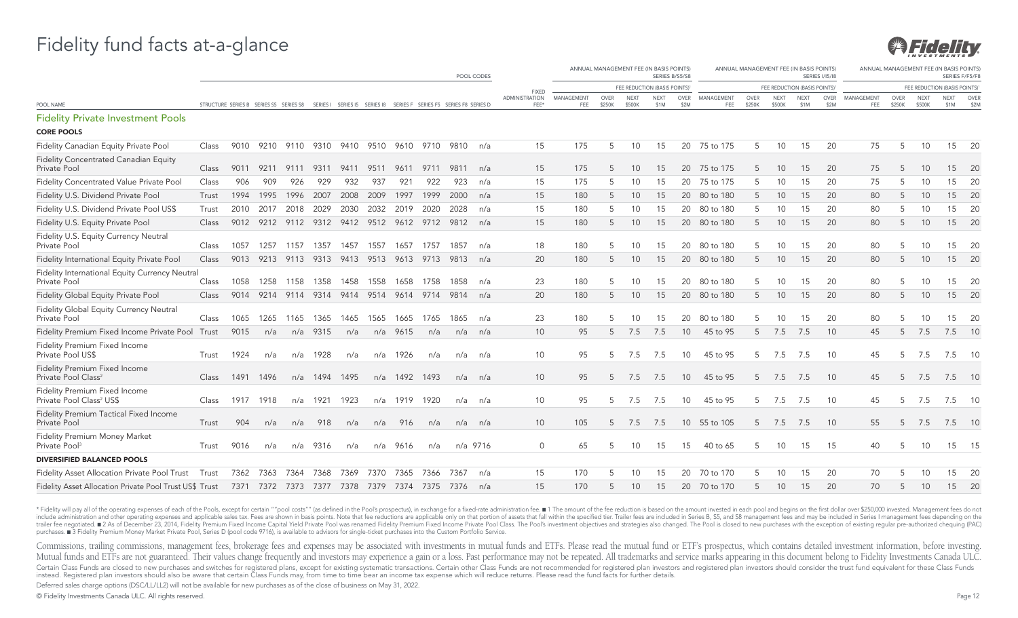

|                                                                         |       |                                                                                                           |      |                |                     |      |      |          |                |                                              | POOL CODES |                        |                   |                |                       | ANNUAL MANAGEMENT FEE (IN BASIS POINTS)<br>SERIES B/S5/S8 |                 |                   |                       |                       | ANNUAL MANAGEMENT FEE (IN BASIS POINTS) | <b>SERIES 1/15/18</b> |                   |                |                       | ANNUAL MANAGEMENT FEE (IN BASIS POINTS<br>SERIES F/F5/F8 |              |
|-------------------------------------------------------------------------|-------|-----------------------------------------------------------------------------------------------------------|------|----------------|---------------------|------|------|----------|----------------|----------------------------------------------|------------|------------------------|-------------------|----------------|-----------------------|-----------------------------------------------------------|-----------------|-------------------|-----------------------|-----------------------|-----------------------------------------|-----------------------|-------------------|----------------|-----------------------|----------------------------------------------------------|--------------|
|                                                                         |       |                                                                                                           |      |                |                     |      |      |          |                |                                              |            | <b>FIXED</b>           |                   |                |                       | FEE REDUCTION (BASIS POINTS)                              |                 |                   |                       |                       | FEE REDUCTION (BASIS POINTS)            |                       |                   |                |                       | FEE REDUCTION (BASIS POINTS)                             |              |
| POOL NAME                                                               |       | STRUCTURE SERIES B SERIES S5 SERIES S8 SERIES I SERIES I5 SERIES I8 SERIES F SERIES F5 SERIES F8 SERIES D |      |                |                     |      |      |          |                |                                              |            | ADMINISTRATION<br>FEE* | MANAGEMENT<br>FEE | OVER<br>\$250K | <b>NEXT</b><br>\$500K | <b>NEXT</b><br>\$1M                                       | OVER<br>\$2M    | MANAGEMENT<br>FEE | <b>OVER</b><br>\$250K | <b>NEXT</b><br>\$500K | <b>NEXT</b><br>\$1M                     | OVER<br>\$2M          | MANAGEMENT<br>FEE | OVER<br>\$250K | <b>NEXT</b><br>\$500K | <b>NEXT</b><br>\$1M                                      | OVER<br>\$2M |
| <b>Fidelity Private Investment Pools</b>                                |       |                                                                                                           |      |                |                     |      |      |          |                |                                              |            |                        |                   |                |                       |                                                           |                 |                   |                       |                       |                                         |                       |                   |                |                       |                                                          |              |
| <b>CORE POOLS</b>                                                       |       |                                                                                                           |      |                |                     |      |      |          |                |                                              |            |                        |                   |                |                       |                                                           |                 |                   |                       |                       |                                         |                       |                   |                |                       |                                                          |              |
| Fidelity Canadian Equity Private Pool                                   | Class | 9010                                                                                                      |      |                | 9210 9110 9310 9410 |      |      |          | 9510 9610 9710 | 9810                                         | n/a        | 15                     | 175               | 5              | 10 <sup>°</sup>       | 15                                                        | 20              | 75 to 175         | 5                     | 10                    | 15                                      | 20                    | 75                | 5              | 10                    | 15                                                       | -20          |
| <b>Fidelity Concentrated Canadian Equity</b><br>Private Pool            | Class | 9011                                                                                                      | 9211 | 9111           | 9311                | 9411 | 9511 | 9611     | 9711           | 9811                                         | n/a        | 15                     | 175               | 5              | 10 <sup>°</sup>       | 15                                                        | 20              | 75 to 175         | 5                     | 10                    | 15                                      | 20                    | 75                |                | 10                    | 15                                                       | - 20         |
| Fidelity Concentrated Value Private Pool                                | Class | 906                                                                                                       | 909  | 926            | 929                 | 932  | 937  | 921      | 922            | 923                                          | n/a        | 15                     | 175               | 5              | 10                    | 15                                                        | 20              | 75 to 175         |                       | 10                    | 15                                      | 20                    | 75                |                | 10                    | 15                                                       | 20           |
| Fidelity U.S. Dividend Private Pool                                     | Trust | 1994                                                                                                      | 1995 | 1996           | 2007                | 2008 | 2009 | 1997     | 1999           | 2000                                         | n/a        | 15                     | 180               | 5              | 10 <sup>°</sup>       | 15                                                        | 20              | 80 to 180         | 5                     | 10                    | 15                                      | 20                    | 80                |                | 10                    | 15                                                       | 20           |
| Fidelity U.S. Dividend Private Pool US\$                                | Trust | 2010                                                                                                      | 2017 | 2018           | 2029                | 2030 | 2032 | 2019     | 2020           | 2028                                         | n/a        | 15                     | 180               | 5              | 10                    | 15                                                        | 20              | 80 to 180         |                       | 10                    | 15                                      | 20                    | 80                |                | 10                    | 15                                                       | 20           |
| Fidelity U.S. Equity Private Pool                                       | Class |                                                                                                           |      |                |                     |      |      |          |                | 9012 9212 9112 9312 9412 9512 9612 9712 9812 | n/a        | 15                     | 180               | 5              | 10 <sup>°</sup>       | 15                                                        | 20              | 80 to 180         | 5                     | 10                    | 15                                      | 20                    | 80                |                | 10                    |                                                          | 15 20        |
| Fidelity U.S. Equity Currency Neutral<br>Private Pool                   | Class | 1057                                                                                                      |      | 1257 1157 1357 |                     | 1457 | 1557 | 1657     | 1757           | 1857                                         | n/a        | 18                     | 180               | 5              | 10 <sup>°</sup>       | 15                                                        | 20              | 80 to 180         |                       | 10                    | 15                                      | 20                    | 80                |                | 10                    | 15                                                       | -20          |
| Fidelity International Equity Private Pool                              | Class | 9013                                                                                                      | 9213 |                | 9113 9313 9413      |      | 9513 |          | 9613 9713      | 9813                                         | n/a        | 20                     | 180               | 5              | 10 <sup>°</sup>       | 15                                                        | 20              | 80 to 180         | 5                     | 10                    | 15                                      | 20                    | 80                | 5              | 10                    | 15                                                       | 20           |
| Fidelity International Equity Currency Neutral<br>Private Pool          | Class | 1058                                                                                                      | 1258 | 1158           | 1358                | 1458 | 1558 | 1658     | 1758           | 1858                                         | n/a        | 23                     | 180               | 5              | 10                    | 15                                                        | 20              | 80 to 180         | 5                     | 10                    | 15                                      | 20                    | 80                |                | 10                    | 15                                                       | -20          |
| Fidelity Global Equity Private Pool                                     | Class |                                                                                                           |      |                |                     |      |      |          |                | 9014 9214 9114 9314 9414 9514 9614 9714 9814 | n/a        | 20                     | 180               | 5              | 10                    | 15                                                        |                 | 20 80 to 180      | 5                     | 10                    | 15                                      | 20                    | 80                | 5              | 10                    | 15                                                       | 20           |
| Fidelity Global Equity Currency Neutral<br>Private Pool                 | Class | 1065                                                                                                      | 1265 | 1165           | 1365                | 1465 | 1565 | 1665     | 1765           | 1865                                         | n/a        | 23                     | 180               | 5              | 10 <sup>°</sup>       | 15                                                        | 20              | 80 to 180         |                       | 10                    | 15                                      | 20                    | 80                |                |                       | 15                                                       | -20          |
| Fidelity Premium Fixed Income Private Pool                              | Trust | 9015                                                                                                      | n/a  | n/a            | 9315                | n/a  | n/a  | 9615     | n/a            | n/a                                          | n/a        | 10                     | 95                | 5              | 7.5                   | 7.5                                                       | 10 <sup>°</sup> | 45 to 95          | 5                     | 7.5                   | 7.5                                     | 10                    | 45                |                | 7.5                   | 7.5                                                      | 10           |
| Fidelity Premium Fixed Income<br>Private Pool US\$                      | Trust | 1924                                                                                                      | n/a  | n/a            | 1928                | n/a  | n/a  | 1926     | n/a            | n/a                                          | n/a        | 10                     | 95                | 5              | 7.5                   | 7.5                                                       | 10 <sup>°</sup> | 45 to 95          | 5                     | 7.5                   | 7.5                                     | 10                    | 45                |                | 7.5                   | 7.5                                                      | - 10         |
| <b>Fidelity Premium Fixed Income</b><br>Private Pool Class <sup>2</sup> | Class | 1491                                                                                                      | 1496 |                | n/a 1494 1495       |      |      |          | n/a 1492 1493  | n/a                                          | n/a        | 10                     | 95                | 5              | 7.5                   | 7.5                                                       | 10 <sup>°</sup> | 45 to 95          | 5                     | 7.5                   | 7.5                                     | 10                    | 45                |                | 7.5                   | $7.5$ 10                                                 |              |
| Fidelity Premium Fixed Income<br>Private Pool Class <sup>2</sup> US\$   | Class | 1917                                                                                                      | 1918 | n/a            | 1921                | 1923 | n/a  | 1919     | 1920           | n/a                                          | n/a        | 10                     | 95                | 5              | 7.5                   | 7.5                                                       | 10              | 45 to 95          | 5                     | 7.5                   | 7.5                                     | 10                    | 45                |                | 7.5                   | 7.5                                                      | - 10         |
| <b>Fidelity Premium Tactical Fixed Income</b><br>Private Pool           | Trust | 904                                                                                                       | n/a  | n/a            | 918                 | n/a  | n/a  | 916      | n/a            | n/a                                          | n/a        | 10                     | 105               | 5              | 7.5                   | 7.5                                                       | 10 <sup>1</sup> | 55 to 105         | 5                     | 7.5                   | 7.5                                     | 10                    | 55                |                | 7.5                   | $7.5$ 10                                                 |              |
| Fidelity Premium Money Market<br>Private Pool <sup>3</sup>              | Trust | 9016                                                                                                      | n/a  |                | n/a 9316            | n/a  |      | n/a 9616 | n/a            |                                              | n/a 9716   | $\Omega$               | 65                | 5              | 10 <sup>°</sup>       | 15                                                        | 15              | 40 to 65          | 5                     | 10                    | 15                                      | 15                    | 40                | 5              | 10                    |                                                          | 15 15        |
| <b>DIVERSIFIED BALANCED POOLS</b>                                       |       |                                                                                                           |      |                |                     |      |      |          |                |                                              |            |                        |                   |                |                       |                                                           |                 |                   |                       |                       |                                         |                       |                   |                |                       |                                                          |              |
| <b>Fidelity Asset Allocation Private Pool Trust</b>                     | Trust | 7362                                                                                                      | 7363 | 7364           | 7368                | 7369 | 7370 | 7365     | 7366           | 7367                                         | n/a        | 15                     | 170               | 5              | 10                    | 15                                                        | 20              | 70 to 170         |                       | 10                    | 15                                      | 20                    | 70                |                | 10                    | 15                                                       | -20          |
| Fidelity Asset Allocation Private Pool Trust US\$ Trust                 |       | 7371 7372 7373 7377 7378                                                                                  |      |                |                     |      | 7379 | 7374     | 7375           | 7376                                         | n/a        | 15                     | 170               | 5              | 10 <sup>°</sup>       | 15                                                        | 20              | 70 to 170         | 5                     | 10 <sup>°</sup>       | 15                                      | 20                    | 70                | .5             | 10                    | 15                                                       | 20           |

\* Fidelity will pay all of the operating expenses of each of the Pools, except for certain ""pool costs"" (as defined in the Pool's prospectus), in exchange for a fixed-rate administration fee. " 1 The amount of the fee re include administration and other operating expenses and applicable sales tax. Fees are shown in basis points. Note that fee reductions are applicable only on that portion of assets that fall within the specified tier. Trai trailer fee negotiated. ■ 2 As of December 23, 2014, Fidelity Premium Fixed Income Capital Yield Private Pool was renamed Fidelity Premium Fixed Income Private Pool Vas renamed Fidelity Premium Fixed Income Private Pool C purchases. n 3 Fidelity Premium Money Market Private Pool, Series D (pool code 9716), is available to advisors for single-ticket purchases into the Custom Portfolio Service.

Commissions, trailing commissions, management fees, brokerage fees and expenses may be associated with investments in mutual funds and ETFs. Please read the mutual fund or ETF's prospectus, which contains detailed investme Mutual funds and ETFs are not guaranteed. Their values change frequently and investors may experience a gain or a loss. Past performance may not be repeated. All trademarks and service marks appearing in this document belo Certain Class Funds are closed to new purchases and switches for registered plans, except for existing systematic transactions. Certain other Class Funds are not recommended for registered plan investors and registered pla instead. Registered plan investors should also be aware that certain Class Funds may, from time to time bear an income tax expense which will reduce returns. Please read the fund facts for further details.

Deferred sales charge options (DSC/LL/LL2) will not be available for new purchases as of the close of business on May 31, 2022.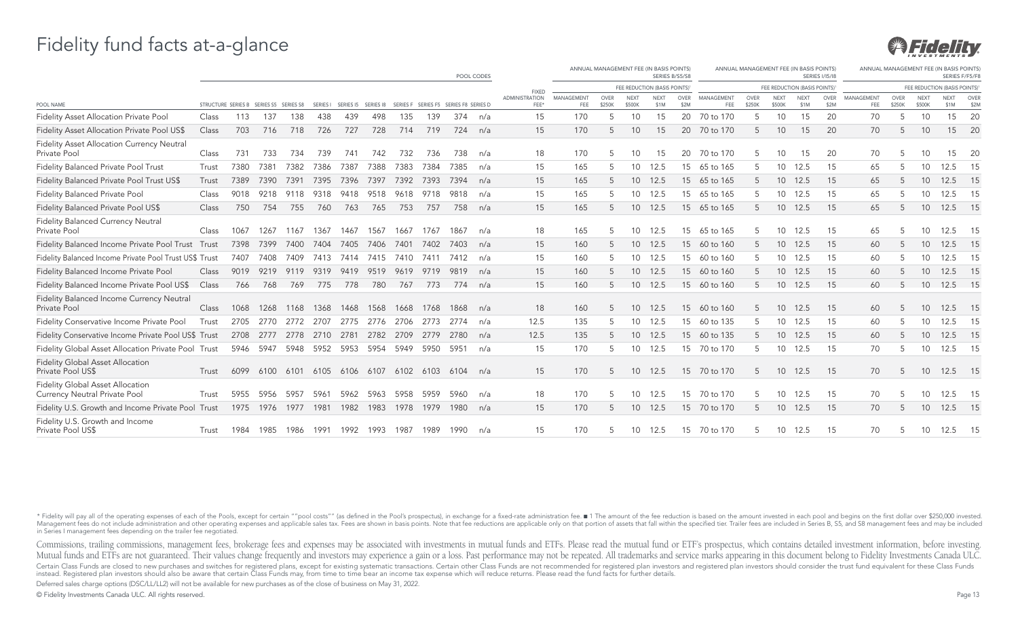# 931 FG ELLE

#### Fidelity fund facts at-a-glance

|                                                                          | POOL CODES |                                        |      |           |                          |                              |      |      |                    |                    | ANNUAL MANAGEMENT FEE (IN BASIS POINTS)<br>SERIES B/S5/S8 |                               |                   |                |                       | ANNUAL MANAGEMENT FEE (IN BASIS POINTS) | ANNUAL MANAGEMENT FEE (IN BASIS POINTS<br>SERIES F/F5/F8 |                   |                       |                       |                              |                     |                   |                       |                       |                     |                          |
|--------------------------------------------------------------------------|------------|----------------------------------------|------|-----------|--------------------------|------------------------------|------|------|--------------------|--------------------|-----------------------------------------------------------|-------------------------------|-------------------|----------------|-----------------------|-----------------------------------------|----------------------------------------------------------|-------------------|-----------------------|-----------------------|------------------------------|---------------------|-------------------|-----------------------|-----------------------|---------------------|--------------------------|
|                                                                          |            |                                        |      |           |                          |                              |      |      |                    |                    | <b>FIXED</b>                                              | FEE REDUCTION (BASIS POINTS)  |                   |                |                       |                                         | FEE REDUCTION (BASIS POINTS)                             |                   |                       |                       | FEE REDUCTION (BASIS POINTS) |                     |                   |                       |                       |                     |                          |
| POOL NAME                                                                |            | STRUCTURE SERIES B SERIES S5 SERIES S8 |      |           |                          | SERIES   SERIES 15 SERIES 18 |      |      | SERIES F SERIES F5 | SERIES F8 SERIES D |                                                           | <b>ADMINISTRATION</b><br>FEE* | MANAGEMENT<br>FEE | OVER<br>\$250K | <b>NEXT</b><br>\$500K | <b>NEXT</b><br>\$1M                     | <b>OVER</b><br>\$2M                                      | MANAGEMENT<br>FEE | <b>OVER</b><br>\$250K | <b>NEXT</b><br>\$500K | <b>NEXT</b><br>\$1M          | <b>OVER</b><br>\$2M | MANAGEMENT<br>FEE | <b>OVER</b><br>\$250K | <b>NEXT</b><br>\$500K | <b>NEXT</b><br>\$1M | OVER<br>\$2 <sub>N</sub> |
| Fidelity Asset Allocation Private Pool                                   | Class      | 113                                    | 137  | 138       | 438                      | 439                          | 498  | 135  | 139                | 374                | n/a                                                       | 15                            | 170               | 5              | 10                    | 15                                      | 20                                                       | 70 to 170         |                       | 10                    | 15                           | 20                  | 70                | 5                     | 10                    | 15                  | 20                       |
| Fidelity Asset Allocation Private Pool US\$                              | Class      | 703                                    | 716  | 718       | 726                      | 727                          | 728  | 714  | 719                | 724                | n/a                                                       | 15                            | 170               | 5              | 10                    | 15                                      | 20                                                       | 70 to 170         | 5                     | 10 <sup>°</sup>       | 15                           | 20                  | 70                | 5                     | 10                    | 15                  | 20                       |
| Fidelity Asset Allocation Currency Neutral<br>Private Pool               | Class      | 731                                    | 733  | 734       | 739                      | 741                          | 742  | 732  | 736                | 738                | n/a                                                       | 18                            | 170               | 5              | 10                    | 15                                      | 20                                                       | 70 to 170         |                       | 10                    | 15                           | 20                  | 70                |                       | 10                    | 15                  | -20                      |
| Fidelity Balanced Private Pool Trust                                     | Trust      | 7380                                   | 7381 | 7382      | 7386                     | 7387                         | 7388 | 7383 | 7384               | 7385               | n/a                                                       | 15                            | 165               | 5              | 10                    | 12.5                                    | 15                                                       | 65 to 165         |                       | 10                    | 12.5                         | 15                  | 65                |                       | 10                    | 12.5                | - 15                     |
| Fidelity Balanced Private Pool Trust US\$                                | Trust      | 7389                                   | 7390 | 7391      | 7395                     | 7396                         | 7397 | 7392 | 7393               | 7394               | n/a                                                       | 15                            | 165               | 5              | 10 <sup>°</sup>       | 12.5                                    | 15                                                       | 65 to 165         |                       |                       | 10 12.5                      | 15                  | 65                |                       | 10                    | 12.5                | 15                       |
| Fidelity Balanced Private Pool                                           | Class      | 9018                                   | 9218 | 9118      | 9318                     | 9418                         | 9518 | 9618 | 9718               | 9818               | n/a                                                       | 15                            | 165               | 5              | 10                    | 12.5                                    | 15                                                       | 65 to 165         |                       | 10                    | 12.5                         | 15                  | 65                |                       | 10                    | 12.5                | 15                       |
| Fidelity Balanced Private Pool US\$                                      | Class      | 750                                    | 754  | 755       | 760                      | 763                          | 765  | 753  | 757                | 758                | n/a                                                       | 15                            | 165               | 5              | 10 <sup>°</sup>       | 12.5                                    | 15 <sup>15</sup>                                         | 65 to 165         | 5                     | 10 <sup>°</sup>       | 12.5                         | 15                  | 65                |                       | 10                    | 12.5 15             |                          |
| <b>Fidelity Balanced Currency Neutral</b><br>Private Pool                | Class      | 1067                                   | 1267 | 1167      | 1367                     | 1467                         | 1567 | 1667 | 1767               | 1867               | n/a                                                       | 18                            | 165               | 5              | 10                    | 12.5                                    | 15                                                       | 65 to 165         |                       | 10                    | 12.5                         | 15                  | 65                |                       | 10                    | 12.5 15             |                          |
| Fidelity Balanced Income Private Pool Trust Trust                        |            | 7398                                   | 7399 | 7400      | 7404                     | 7405                         | 7406 | 7401 | 7402               | 7403               | n/a                                                       | 15                            | 160               | 5              | 10 <sup>°</sup>       | 12.5                                    | 15 <sup>15</sup>                                         | 60 to 160         | 5                     | 10 <sup>°</sup>       | 12.5                         | 15                  | 60                | 5                     | 10                    | 12.5                | 15                       |
| Fidelity Balanced Income Private Pool Trust US\$ Trust                   |            | 7407                                   | 7408 | 7409      | 7413                     | 7414                         | 7415 | 7410 | 7411               | 7412               | n/a                                                       | 15                            | 160               | 5              | 10                    | 12.5                                    | 15                                                       | 60 to 160         |                       | 10                    | 12.5                         | 15                  | 60                |                       | 10                    | 12.5                | - 15                     |
| Fidelity Balanced Income Private Pool                                    | Class      | 9019                                   | 9219 | 9119      | 9319                     | 9419                         | 9519 | 9619 | 9719               | 9819               | n/a                                                       | 15                            | 160               | 5              | 10 <sup>°</sup>       | 12.5                                    | 15                                                       | 60 to 160         | 5                     | 10 <sup>°</sup>       | 12.5                         | 15                  | 60                |                       | 10                    | 12.5 15             |                          |
| Fidelity Balanced Income Private Pool US\$                               | Class      | 766                                    | 768  | 769       | 775                      | 778                          | 780  | 767  | 773                | 774                | n/a                                                       | 15                            | 160               |                | 10 <sup>°</sup>       | 12.5                                    | 15                                                       | 60 to 160         |                       | 10 <sup>1</sup>       | 12.5                         | 15                  | 60                |                       | 10                    | 12.5 15             |                          |
| Fidelity Balanced Income Currency Neutral<br>Private Pool                | Class      | 1068                                   | 1268 | 1168      | 1368                     | 1468                         | 1568 | 1668 | 1768               | 1868               | n/a                                                       | 18                            | 160               | 5              | 10                    | 12.5                                    | 15                                                       | 60 to 160         | 5                     | 10                    | 12.5                         | 15                  | 60                | 5                     | 10                    | 12.5                | - 15                     |
| Fidelity Conservative Income Private Pool                                | Trust      | 2705                                   | 2770 | 2772      | 2707                     | 2775                         | 2776 | 2706 | 2773               | 2774               | n/a                                                       | 12.5                          | 135               | 5              | 10                    | 12.5                                    | 15                                                       | 60 to 135         | 5                     | 10                    | 12.5                         | 15                  | 60                |                       | 10                    | 12.5                | 15                       |
| Fidelity Conservative Income Private Pool US\$ Trust                     |            | 2708                                   | 2777 | 2778      | 2710                     | 2781                         | 2782 | 2709 | 2779               | 2780               | n/a                                                       | 12.5                          | 135               | 5              | 10 <sup>°</sup>       | 12.5                                    | 15                                                       | 60 to 135         | 5                     | 10 <sup>1</sup>       | 12.5                         | 15                  | 60                |                       | 10                    | 12.5 15             |                          |
| Fidelity Global Asset Allocation Private Pool Trust                      |            |                                        |      |           | 5946 5947 5948 5952 5953 |                              | 5954 | 5949 | 5950 5951          |                    | n/a                                                       | 15                            | 170               | 5              | 10                    | 12.5                                    |                                                          | 15 70 to 170      | 5                     |                       | 10 12.5                      | 15                  | 70                |                       | 10                    | 12.5 15             |                          |
| <b>Fidelity Global Asset Allocation</b><br>Private Pool US\$             | Trust      | 6099                                   | 6100 | 6101      | 6105                     | 6106                         | 6107 |      | 6102 6103          | 6104               | n/a                                                       | 15                            | 170               | 5              | 10                    | 12.5                                    | 15                                                       | 70 to 170         | 5                     | 10 <sup>°</sup>       | 12.5                         | 15                  | 70                | 5                     | 10                    | 12.5 15             |                          |
| <b>Fidelity Global Asset Allocation</b><br>Currency Neutral Private Pool | Trust      | 5955                                   | 5956 | 5957      | 5961                     | 5962                         | 5963 | 5958 | 5959               | 5960               | n/a                                                       | 18                            | 170               | 5              | 10                    | 12.5                                    | 15                                                       | 70 to 170         | 5                     | 10 <sup>°</sup>       | 12.5                         | 15                  | 70                |                       | 10                    | 12.5 15             |                          |
| Fidelity U.S. Growth and Income Private Pool Trust                       |            | 1975                                   |      | 1976 1977 | 1981                     | 1982                         | 1983 |      | 1978 1979          | 1980               | n/a                                                       | 15                            | 170               | 5              | 10 <sup>1</sup>       | 12.5                                    |                                                          | 15 70 to 170      | 5                     |                       | 10 12.5                      | 15                  | 70                | 5                     | 10                    | 12.5 15             |                          |
| Fidelity U.S. Growth and Income<br>Private Pool US\$                     | Trust      | 1984                                   | 1985 | 1986      | 1991                     | 1992                         | 1993 | 1987 | 1989               | 1990               | n/a                                                       | 15                            | 170               | 5              | 10                    | 12.5                                    | 15                                                       | 70 to 170         | 5                     | 10                    | 12.5                         | 15                  | 70                | 5                     | 10                    | 12.5                | 15                       |

\* Fidelity will pay all of the operating expenses of each of the Pools, except for certain ""pool costs"" (as defined in the Pool's prospectus), in exchange for a fixed-rate administration fee. 1 The amount of the fee redu Management fees do not include administration and other operating expenses and applicable sales tax. Fees are shown in basis points. Note that fee reductions are applicable only on that portion of assets that fall within t in Series I management fees depending on the trailer fee negotiated.

Commissions, trailing commissions, management fees, brokerage fees and expenses may be associated with investments in mutual funds and ETFs. Please read the mutual fund or ETF's prospectus, which contains detailed investme Mutual funds and ETFs are not guaranteed. Their values change frequently and investors may experience a gain or a loss. Past performance may not be repeated. All trademarks and service marks appearing in this document belo Certain Class Funds are closed to new purchases and switches for registered plans, except for existing systematic transactions. Certain other Class Funds are not recommended for registered plan investors and registered pla instead. Registered plan investors should also be aware that certain Class Funds may, from time to time bear an income tax expense which will reduce returns. Please read the fund facts for further details.

Deferred sales charge options (DSC/LL/LL2) will not be available for new purchases as of the close of business on May 31, 2022.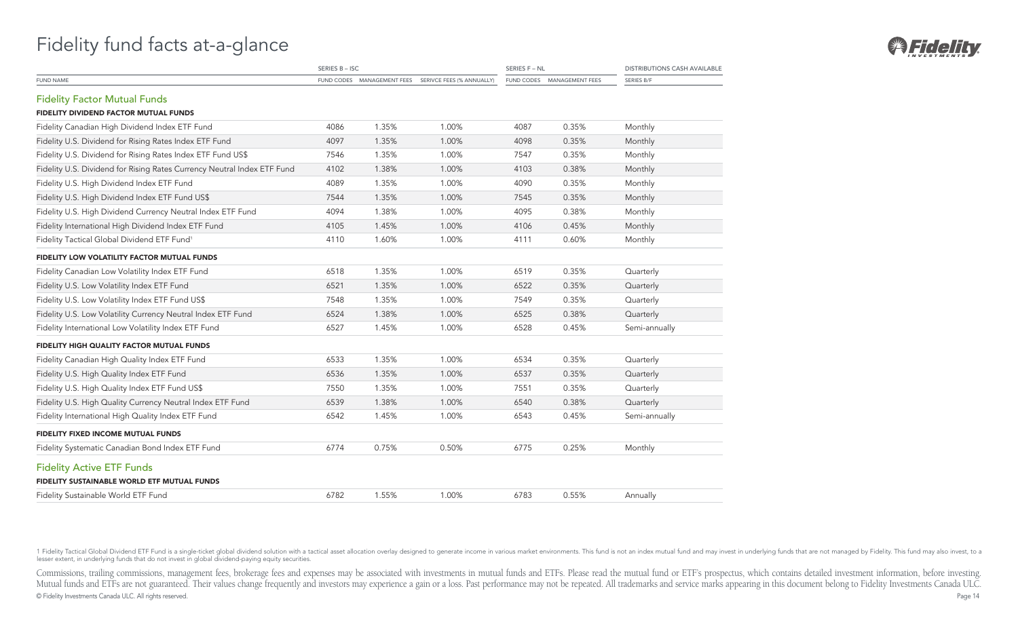|                                                                         | SERIES B-ISC |       |                                                      | SERIES F - NL |                            | <b>DISTRIBUTIONS CASH AVAILABLE</b> |  |  |
|-------------------------------------------------------------------------|--------------|-------|------------------------------------------------------|---------------|----------------------------|-------------------------------------|--|--|
| <b>FUND NAME</b>                                                        |              |       | FUND CODES MANAGEMENT FEES SERIVCE FEES (% ANNUALLY) |               | FUND CODES MANAGEMENT FEES | SERIES B/F                          |  |  |
| <b>Fidelity Factor Mutual Funds</b>                                     |              |       |                                                      |               |                            |                                     |  |  |
| <b>FIDELITY DIVIDEND FACTOR MUTUAL FUNDS</b>                            |              |       |                                                      |               |                            |                                     |  |  |
| Fidelity Canadian High Dividend Index ETF Fund                          | 4086         | 1.35% | 1.00%                                                | 4087          | 0.35%                      | Monthly                             |  |  |
| Fidelity U.S. Dividend for Rising Rates Index ETF Fund                  | 4097         | 1.35% | 1.00%                                                | 4098          | 0.35%                      | Monthly                             |  |  |
| Fidelity U.S. Dividend for Rising Rates Index ETF Fund US\$             | 7546         | 1.35% | 1.00%                                                | 7547          | 0.35%                      | Monthly                             |  |  |
| Fidelity U.S. Dividend for Rising Rates Currency Neutral Index ETF Fund | 4102         | 1.38% | 1.00%                                                | 4103          | 0.38%                      | Monthly                             |  |  |
| Fidelity U.S. High Dividend Index ETF Fund                              | 4089         | 1.35% | 1.00%                                                | 4090          | 0.35%                      | Monthly                             |  |  |
| Fidelity U.S. High Dividend Index ETF Fund US\$                         | 7544         | 1.35% | 1.00%                                                | 7545          | 0.35%                      | Monthly                             |  |  |
| Fidelity U.S. High Dividend Currency Neutral Index ETF Fund             | 4094         | 1.38% | 1.00%                                                | 4095          | 0.38%                      | Monthly                             |  |  |
| Fidelity International High Dividend Index ETF Fund                     | 4105         | 1.45% | 1.00%                                                | 4106          | 0.45%                      | Monthly                             |  |  |
| Fidelity Tactical Global Dividend ETF Fund <sup>1</sup>                 | 4110         | 1.60% | 1.00%                                                | 4111          | 0.60%                      | Monthly                             |  |  |
| FIDELITY LOW VOLATILITY FACTOR MUTUAL FUNDS                             |              |       |                                                      |               |                            |                                     |  |  |
| Fidelity Canadian Low Volatility Index ETF Fund                         | 6518         | 1.35% | 1.00%                                                | 6519          | 0.35%                      | Quarterly                           |  |  |
| Fidelity U.S. Low Volatility Index ETF Fund                             | 6521         | 1.35% | 1.00%                                                | 6522          | 0.35%                      | Quarterly                           |  |  |
| Fidelity U.S. Low Volatility Index ETF Fund US\$                        | 7548         | 1.35% | 1.00%                                                | 7549          | 0.35%                      | Quarterly                           |  |  |
| Fidelity U.S. Low Volatility Currency Neutral Index ETF Fund            | 6524         | 1.38% | 1.00%                                                | 6525          | 0.38%                      | Quarterly                           |  |  |
| Fidelity International Low Volatility Index ETF Fund                    | 6527         | 1.45% | 1.00%                                                | 6528          | 0.45%                      | Semi-annually                       |  |  |
| FIDELITY HIGH QUALITY FACTOR MUTUAL FUNDS                               |              |       |                                                      |               |                            |                                     |  |  |
| Fidelity Canadian High Quality Index ETF Fund                           | 6533         | 1.35% | 1.00%                                                | 6534          | 0.35%                      | Quarterly                           |  |  |
| Fidelity U.S. High Quality Index ETF Fund                               | 6536         | 1.35% | 1.00%                                                | 6537          | 0.35%                      | Quarterly                           |  |  |
| Fidelity U.S. High Quality Index ETF Fund US\$                          | 7550         | 1.35% | 1.00%                                                | 7551          | 0.35%                      | Quarterly                           |  |  |
| Fidelity U.S. High Quality Currency Neutral Index ETF Fund              | 6539         | 1.38% | 1.00%                                                | 6540          | 0.38%                      | Quarterly                           |  |  |
| Fidelity International High Quality Index ETF Fund                      | 6542         | 1.45% | 1.00%                                                | 6543          | 0.45%                      | Semi-annually                       |  |  |
| <b>FIDELITY FIXED INCOME MUTUAL FUNDS</b>                               |              |       |                                                      |               |                            |                                     |  |  |
| Fidelity Systematic Canadian Bond Index ETF Fund                        | 6774         | 0.75% | 0.50%                                                | 6775          | 0.25%                      | Monthly                             |  |  |
| <b>Fidelity Active ETF Funds</b>                                        |              |       |                                                      |               |                            |                                     |  |  |
| FIDELITY SUSTAINABLE WORLD ETF MUTUAL FUNDS                             |              |       |                                                      |               |                            |                                     |  |  |
| Fidelity Sustainable World ETF Fund                                     | 6782         | 1.55% | 1.00%                                                | 6783          | 0.55%                      | Annually                            |  |  |

1 Fidelity Tactical Global Dividend ETF Fund is a single-ticket global dividend solution with a tactical asset allocation overlay designed to generate income in various market environments. This fund is not an index mutual

Commissions, trailing commissions, management fees, brokerage fees and expenses may be associated with investments in mutual funds and ETFs. Please read the mutual fund or ETF's prospectus, which contains detailed investme Mutual funds and ETFs are not guaranteed. Their values change frequently and investors may experience a gain or a loss. Past performance may not be repeated. All trademarks and service marks appearing in this document belo © Fidelity Investments Canada ULC. All rights reserved. Page 14